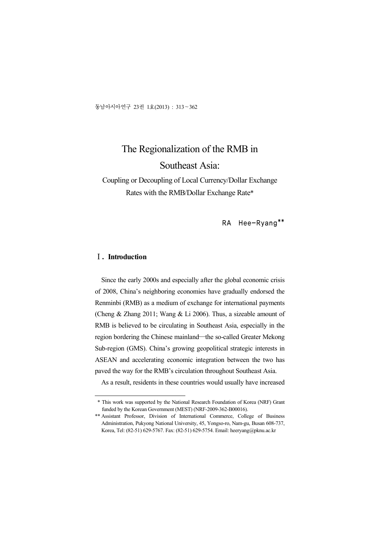동남아시아연구 23권 1호(2013) : 313~362

# The Regionalization of the RMB in Southeast Asia:

Coupling or Decoupling of Local Currency/Dollar Exchange Rates with the RMB/Dollar Exchange Rate\*

RA Hee-Ryang\*\*

### Ⅰ**. Introduction**

Since the early 2000s and especially after the global economic crisis of 2008, China's neighboring economies have gradually endorsed the Renminbi (RMB) as a medium of exchange for international payments (Cheng & Zhang 2011; Wang & Li 2006). Thus, a sizeable amount of RMB is believed to be circulating in Southeast Asia, especially in the region bordering the Chinese mainland―the so-called Greater Mekong Sub-region (GMS). China's growing geopolitical strategic interests in ASEAN and accelerating economic integration between the two has paved the way for the RMB's circulation throughout Southeast Asia.

As a result, residents in these countries would usually have increased

 <sup>\*</sup> This work was supported by the National Research Foundation of Korea (NRF) Grant funded by the Korean Government (MEST) (NRF-2009-362-B00016).

<sup>\*\*</sup> Assistant Professor, Division of International Commerce, College of Business Administration, Pukyong National University, 45, Yongso-ro, Nam-gu, Busan 608-737, Korea, Tel: (82-51) 629-5767. Fax: (82-51) 629-5754. Email: heeryang@pknu.ac.kr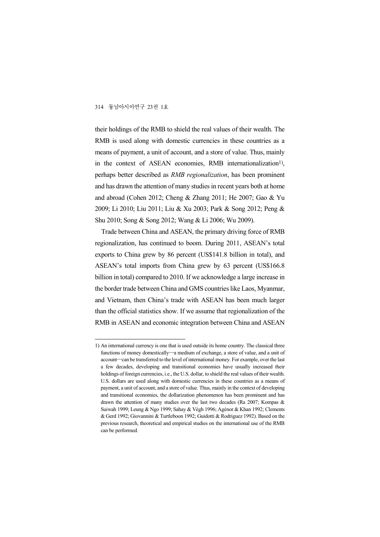their holdings of the RMB to shield the real values of their wealth. The RMB is used along with domestic currencies in these countries as a means of payment, a unit of account, and a store of value. Thus, mainly in the context of ASEAN economies, RMB internationalization<sup>1)</sup>, , perhaps better described as *RMB regionalization*, has been prominent and has drawn the attention of many studies in recent years both at home and abroad (Cohen 2012; Cheng & Zhang 2011; He 2007; Gao & Yu 2009; Li 2010; Liu 2011; Liu & Xu 2003; Park & Song 2012; Peng & Shu 2010; Song & Song 2012; Wang & Li 2006; Wu 2009).

Trade between China and ASEAN, the primary driving force of RMB regionalization, has continued to boom. During 2011, ASEAN's total exports to China grew by 86 percent (US\$141.8 billion in total), and ASEAN's total imports from China grew by 63 percent (US\$166.8 billion in total) compared to 2010. If we acknowledge a large increase in the border trade between China and GMS countries like Laos, Myanmar, and Vietnam, then China's trade with ASEAN has been much larger than the official statistics show. If we assume that regionalization of the RMB in ASEAN and economic integration between China and ASEAN

<sup>1)</sup> An international currency is one that is used outside its home country. The classical three functions of money domestically―a medium of exchange, a store of value, and a unit of account―can be transferred to the level of international money. For example, over the last a few decades, developing and transitional economies have usually increased their holdings of foreign currencies, i.e., the U.S. dollar, to shield the real values of their wealth. U.S. dollars are used along with domestic currencies in these countries as a means of payment, a unit of account, and a store of value. Thus, mainly in the context of developing and transitional economies, the dollarization phenomenon has been prominent and has drawn the attention of many studies over the last two decades (Ra 2007; Kompas & Suiwah 1999; Leung & Ngo 1999; Sahay & Végh 1996; Agénor & Khan 1992; Clements & Gerd 1992; Giovannini & Turtleboon 1992; Guidotti & Rodriguez 1992). Based on the previous research, theoretical and empirical studies on the international use of the RMB can be performed.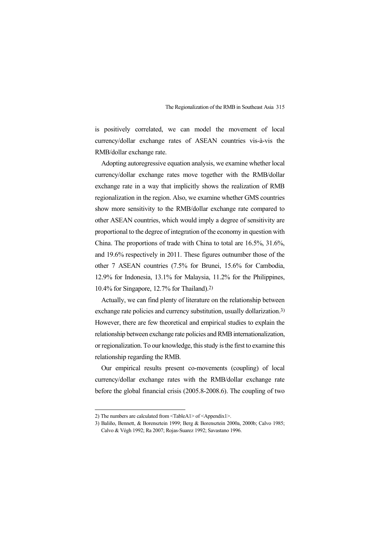is positively correlated, we can model the movement of local currency/dollar exchange rates of ASEAN countries vis-à-vis the RMB/dollar exchange rate.

Adopting autoregressive equation analysis, we examine whether local currency/dollar exchange rates move together with the RMB/dollar exchange rate in a way that implicitly shows the realization of RMB regionalization in the region. Also, we examine whether GMS countries show more sensitivity to the RMB/dollar exchange rate compared to other ASEAN countries, which would imply a degree of sensitivity are proportional to the degree of integration of the economy in question with China. The proportions of trade with China to total are 16.5%, 31.6%, and 19.6% respectively in 2011. These figures outnumber those of the other 7 ASEAN countries (7.5% for Brunei, 15.6% for Cambodia, 12.9% for Indonesia, 13.1% for Malaysia, 11.2% for the Philippines, 10.4% for Singapore, 12.7% for Thailand).2)

Actually, we can find plenty of literature on the relationship between exchange rate policies and currency substitution, usually dollarization.3) However, there are few theoretical and empirical studies to explain the relationship between exchange rate policies and RMB internationalization, or regionalization. To our knowledge, this study is the first to examine this relationship regarding the RMB.

Our empirical results present co-movements (coupling) of local currency/dollar exchange rates with the RMB/dollar exchange rate before the global financial crisis (2005.8-2008.6). The coupling of two

<sup>2)</sup> The numbers are calculated from <TableA1> of <Appendix1>.

<sup>3)</sup> Baliño, Bennett, & Borensztein 1999; Berg & Borensztein 2000a, 2000b; Calvo 1985; Calvo & Végh 1992; Ra 2007; Rojas-Suarez 1992; Savastano 1996.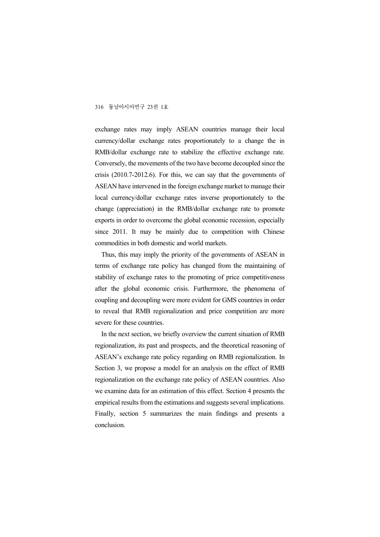exchange rates may imply ASEAN countries manage their local currency/dollar exchange rates proportionately to a change the in RMB/dollar exchange rate to stabilize the effective exchange rate. Conversely, the movements of the two have become decoupled since the crisis (2010.7-2012.6). For this, we can say that the governments of ASEAN have intervened in the foreign exchange market to manage their local currency/dollar exchange rates inverse proportionately to the change (appreciation) in the RMB/dollar exchange rate to promote exports in order to overcome the global economic recession, especially since 2011. It may be mainly due to competition with Chinese commodities in both domestic and world markets.

Thus, this may imply the priority of the governments of ASEAN in terms of exchange rate policy has changed from the maintaining of stability of exchange rates to the promoting of price competitiveness after the global economic crisis. Furthermore, the phenomena of coupling and decoupling were more evident for GMS countries in order to reveal that RMB regionalization and price competition are more severe for these countries.

In the next section, we briefly overview the current situation of RMB regionalization, its past and prospects, and the theoretical reasoning of ASEAN's exchange rate policy regarding on RMB regionalization. In Section 3, we propose a model for an analysis on the effect of RMB regionalization on the exchange rate policy of ASEAN countries. Also we examine data for an estimation of this effect. Section 4 presents the empirical results from the estimations and suggests several implications. Finally, section 5 summarizes the main findings and presents a conclusion.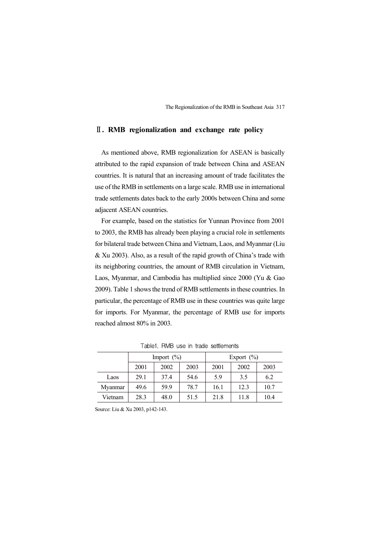#### Ⅱ**. RMB regionalization and exchange rate policy**

As mentioned above, RMB regionalization for ASEAN is basically attributed to the rapid expansion of trade between China and ASEAN countries. It is natural that an increasing amount of trade facilitates the use of the RMB in settlements on a large scale. RMB use in international trade settlements dates back to the early 2000s between China and some adjacent ASEAN countries.

For example, based on the statistics for Yunnan Province from 2001 to 2003, the RMB has already been playing a crucial role in settlements for bilateral trade between China and Vietnam, Laos, and Myanmar (Liu & Xu 2003). Also, as a result of the rapid growth of China's trade with its neighboring countries, the amount of RMB circulation in Vietnam, Laos, Myanmar, and Cambodia has multiplied since 2000 (Yu & Gao 2009). Table 1 shows the trend of RMB settlements in these countries. In particular, the percentage of RMB use in these countries was quite large for imports. For Myanmar, the percentage of RMB use for imports reached almost 80% in 2003.

|         | Import $(\%)$ |      |      | Export $(\% )$ |      |      |  |
|---------|---------------|------|------|----------------|------|------|--|
|         | 2001          | 2002 | 2003 | 2001           | 2002 | 2003 |  |
| Laos    | 29.1          | 37.4 | 54.6 | 5.9            | 3.5  | 6.2  |  |
| Myanmar | 49.6          | 59.9 | 78.7 | 16.1           | 12.3 | 10.7 |  |
| Vietnam | 28.3          | 48.0 | 51.5 | 21.8           | 11.8 | 10.4 |  |

Table1. RMB use in trade settlements

Source: Liu & Xu 2003, p142-143.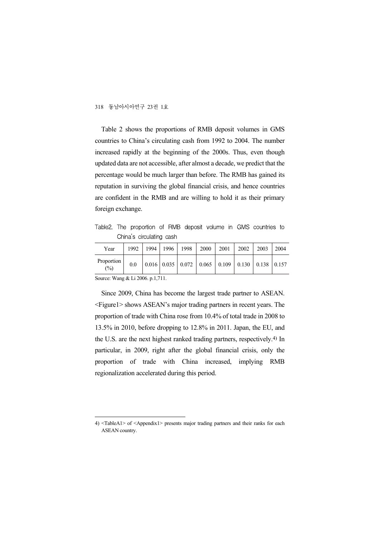Table 2 shows the proportions of RMB deposit volumes in GMS countries to China's circulating cash from 1992 to 2004. The number increased rapidly at the beginning of the 2000s. Thus, even though updated data are not accessible, after almost a decade, we predict that the percentage would be much larger than before. The RMB has gained its reputation in surviving the global financial crisis, and hence countries are confident in the RMB and are willing to hold it as their primary foreign exchange.

Table2. The proportion of RMB deposit volume in GMS countries to China's circulating cash

| Year                                                                                           | 1992 | 1994 | 1996 | 1998 | 2000 | 2001                                                                                              | 2002 | 2003 | 2004 |
|------------------------------------------------------------------------------------------------|------|------|------|------|------|---------------------------------------------------------------------------------------------------|------|------|------|
| Proportion<br>(%)                                                                              | 0.0  |      |      |      |      | $\vert 0.016 \vert 0.035 \vert 0.072 \vert 0.065 \vert 0.109 \vert 0.130 \vert 0.138 \vert 0.157$ |      |      |      |
| $S_{\text{out}}$ $W_{\text{out}}$ $\theta$ $I$ $I$ $\theta$ $\theta$ $\ell$ $\theta$ $1$ $711$ |      |      |      |      |      |                                                                                                   |      |      |      |

Source: Wang & Li 2006. p.1,711.

Since 2009, China has become the largest trade partner to ASEAN. <Figure1> shows ASEAN's major trading partners in recent years. The proportion of trade with China rose from 10.4% of total trade in 2008 to 13.5% in 2010, before dropping to 12.8% in 2011. Japan, the EU, and the U.S. are the next highest ranked trading partners, respectively.4) In particular, in 2009, right after the global financial crisis, only the proportion of trade with China increased, implying RMB regionalization accelerated during this period.

<sup>4)</sup> <TableA1> of <Appendix1> presents major trading partners and their ranks for each ASEAN country.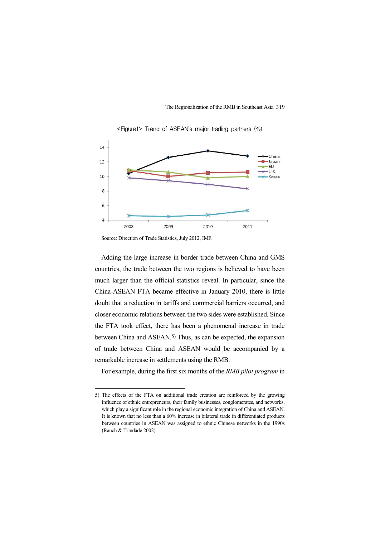

<Figure1> Trend of ASEAN's major trading partners (%)

Source: Direction of Trade Statistics, July 2012, IMF.

Adding the large increase in border trade between China and GMS countries, the trade between the two regions is believed to have been much larger than the official statistics reveal. In particular, since the China-ASEAN FTA became effective in January 2010, there is little doubt that a reduction in tariffs and commercial barriers occurred, and closer economic relations between the two sides were established. Since the FTA took effect, there has been a phenomenal increase in trade between China and ASEAN.5) Thus, as can be expected, the expansion of trade between China and ASEAN would be accompanied by a remarkable increase in settlements using the RMB.

For example, during the first six months of the *RMB pilot program* in

<sup>5)</sup> The effects of the FTA on additional trade creation are reinforced by the growing influence of ethnic entrepreneurs, their family businesses, conglomerates, and networks, which play a significant role in the regional economic integration of China and ASEAN. It is known that no less than a 60% increase in bilateral trade in differentiated products between countries in ASEAN was assigned to ethnic Chinese networks in the 1990s (Rauch & Trindade 2002).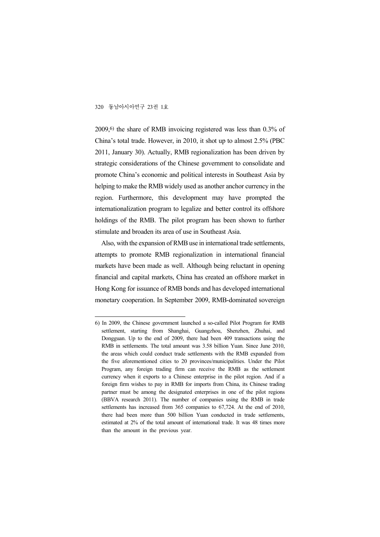2009,6) the share of RMB invoicing registered was less than 0.3% of China's total trade. However, in 2010, it shot up to almost 2.5% (PBC 2011, January 30). Actually, RMB regionalization has been driven by strategic considerations of the Chinese government to consolidate and promote China's economic and political interests in Southeast Asia by helping to make the RMB widely used as another anchor currency in the region. Furthermore, this development may have prompted the internationalization program to legalize and better control its offshore holdings of the RMB. The pilot program has been shown to further stimulate and broaden its area of use in Southeast Asia.

Also, with the expansion of RMB use in international trade settlements, attempts to promote RMB regionalization in international financial markets have been made as well. Although being reluctant in opening financial and capital markets, China has created an offshore market in Hong Kong for issuance of RMB bonds and has developed international monetary cooperation. In September 2009, RMB-dominated sovereign

<sup>6)</sup> In 2009, the Chinese government launched a so-called Pilot Program for RMB settlement, starting from Shanghai, Guangzhou, Shenzhen, Zhuhai, and Dongguan. Up to the end of 2009, there had been 409 transactions using the RMB in settlements. The total amount was 3.58 billion Yuan. Since June 2010, the areas which could conduct trade settlements with the RMB expanded from the five aforementioned cities to 20 provinces/municipalities. Under the Pilot Program, any foreign trading firm can receive the RMB as the settlement currency when it exports to a Chinese enterprise in the pilot region. And if a foreign firm wishes to pay in RMB for imports from China, its Chinese trading partner must be among the designated enterprises in one of the pilot regions (BBVA research 2011). The number of companies using the RMB in trade settlements has increased from 365 companies to 67,724. At the end of 2010, there had been more than 500 billion Yuan conducted in trade settlements, estimated at 2% of the total amount of international trade. It was 48 times more than the amount in the previous year.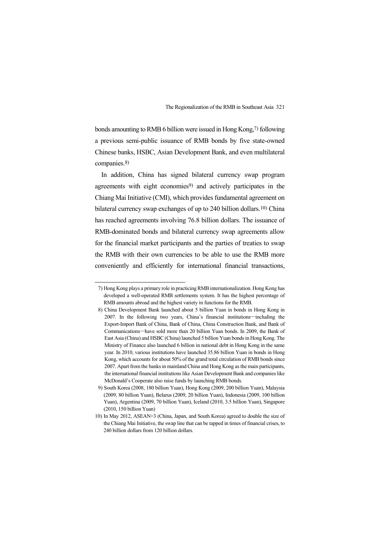bonds amounting to RMB 6 billion were issued in Hong Kong,7) following a previous semi-public issuance of RMB bonds by five state-owned Chinese banks, HSBC, Asian Development Bank, and even multilateral companies.8)

In addition, China has signed bilateral currency swap program agreements with eight economies<sup>9)</sup> and actively participates in the Chiang Mai Initiative (CMI), which provides fundamental agreement on bilateral currency swap exchanges of up to 240 billion dollars.10) China has reached agreements involving 76.8 billion dollars. The issuance of RMB-dominated bonds and bilateral currency swap agreements allow for the financial market participants and the parties of treaties to swap the RMB with their own currencies to be able to use the RMB more conveniently and efficiently for international financial transactions,

<sup>7)</sup> Hong Kong plays a primary role in practicing RMB internationalization. Hong Kong has developed a well-operated RMB settlements system. It has the highest percentage of RMB amounts abroad and the highest variety in functions for the RMB.

<sup>8)</sup> China Development Bank launched about 5 billion Yuan in bonds in Hong Kong in 2007. In the following two years, China's financial institutions―including the Export-Import Bank of China, Bank of China, China Construction Bank, and Bank of Communications―have sold more than 20 billion Yuan bonds. In 2009, the Bank of East Asia (China) and HSBC (China) launched 5 billion Yuan bonds in Hong Kong. The Ministry of Finance also launched 6 billion in national debt in Hong Kong in the same year. In 2010, various institutions have launched 35.86 billion Yuan in bonds in Hong Kong, which accounts for about 50% of the grand total circulation of RMB bonds since 2007. Apart from the banks in mainland China and Hong Kong as the main participants, the international financial institutions like Asian Development Bank and companies like McDonald's Cooperate also raise funds by launching RMB bonds.

<sup>9)</sup> South Korea (2008, 180 billion Yuan), Hong Kong (2009, 200 billion Yuan), Malaysia (2009, 80 billion Yuan), Belarus (2009, 20 billion Yuan), Indonesia (2009, 100 billion Yuan), Argentina (2009, 70 billion Yuan), Iceland (2010, 3.5 billion Yuan), Singapore (2010, 150 billion Yuan)

<sup>10)</sup> In May 2012, ASEAN+3 (China, Japan, and South Korea) agreed to double the size of the Chiang Mai Initiative, the swap line that can be tapped in times of financial crises, to 240 billion dollars from 120 billion dollars.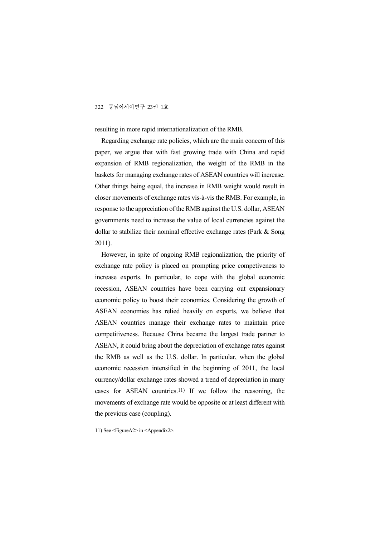resulting in more rapid internationalization of the RMB.

Regarding exchange rate policies, which are the main concern of this paper, we argue that with fast growing trade with China and rapid expansion of RMB regionalization, the weight of the RMB in the baskets for managing exchange rates of ASEAN countries will increase. Other things being equal, the increase in RMB weight would result in closer movements of exchange rates vis-à-vis the RMB. For example, in response to the appreciation of the RMB against the U.S. dollar, ASEAN governments need to increase the value of local currencies against the dollar to stabilize their nominal effective exchange rates (Park & Song 2011).

However, in spite of ongoing RMB regionalization, the priority of exchange rate policy is placed on prompting price competiveness to increase exports. In particular, to cope with the global economic recession, ASEAN countries have been carrying out expansionary economic policy to boost their economies. Considering the growth of ASEAN economies has relied heavily on exports, we believe that ASEAN countries manage their exchange rates to maintain price competitiveness. Because China became the largest trade partner to ASEAN, it could bring about the depreciation of exchange rates against the RMB as well as the U.S. dollar. In particular, when the global economic recession intensified in the beginning of 2011, the local currency/dollar exchange rates showed a trend of depreciation in many cases for ASEAN countries.11) If we follow the reasoning, the movements of exchange rate would be opposite or at least different with the previous case (coupling).

<sup>11)</sup> See <FigureA2> in <Appendix2>.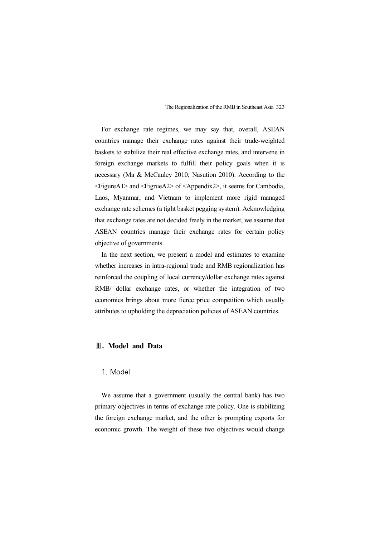For exchange rate regimes, we may say that, overall, ASEAN countries manage their exchange rates against their trade-weighted baskets to stabilize their real effective exchange rates, and intervene in foreign exchange markets to fulfill their policy goals when it is necessary (Ma & McCauley 2010; Nasution 2010). According to the <FigureA1> and <FigrueA2> of <Appendix2>, it seems for Cambodia, Laos, Myanmar, and Vietnam to implement more rigid managed exchange rate schemes (a tight basket pegging system). Acknowledging that exchange rates are not decided freely in the market, we assume that ASEAN countries manage their exchange rates for certain policy objective of governments.

In the next section, we present a model and estimates to examine whether increases in intra-regional trade and RMB regionalization has reinforced the coupling of local currency/dollar exchange rates against RMB/ dollar exchange rates, or whether the integration of two economies brings about more fierce price competition which usually attributes to upholding the depreciation policies of ASEAN countries.

#### Ⅲ**. Model and Data**

#### 1. Model

We assume that a government (usually the central bank) has two primary objectives in terms of exchange rate policy. One is stabilizing the foreign exchange market, and the other is prompting exports for economic growth. The weight of these two objectives would change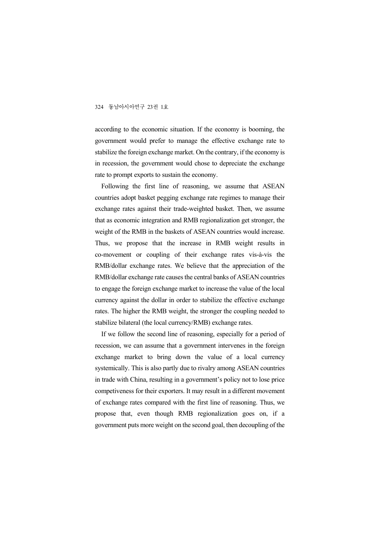according to the economic situation. If the economy is booming, the government would prefer to manage the effective exchange rate to stabilize the foreign exchange market. On the contrary, if the economy is in recession, the government would chose to depreciate the exchange rate to prompt exports to sustain the economy.

Following the first line of reasoning, we assume that ASEAN countries adopt basket pegging exchange rate regimes to manage their exchange rates against their trade-weighted basket. Then, we assume that as economic integration and RMB regionalization get stronger, the weight of the RMB in the baskets of ASEAN countries would increase. Thus, we propose that the increase in RMB weight results in co-movement or coupling of their exchange rates vis-à-vis the RMB/dollar exchange rates. We believe that the appreciation of the RMB/dollar exchange rate causes the central banks of ASEAN countries to engage the foreign exchange market to increase the value of the local currency against the dollar in order to stabilize the effective exchange rates. The higher the RMB weight, the stronger the coupling needed to stabilize bilateral (the local currency/RMB) exchange rates.

If we follow the second line of reasoning, especially for a period of recession, we can assume that a government intervenes in the foreign exchange market to bring down the value of a local currency systemically. This is also partly due to rivalry among ASEAN countries in trade with China, resulting in a government's policy not to lose price competiveness for their exporters. It may result in a different movement of exchange rates compared with the first line of reasoning. Thus, we propose that, even though RMB regionalization goes on, if a government puts more weight on the second goal, then decoupling of the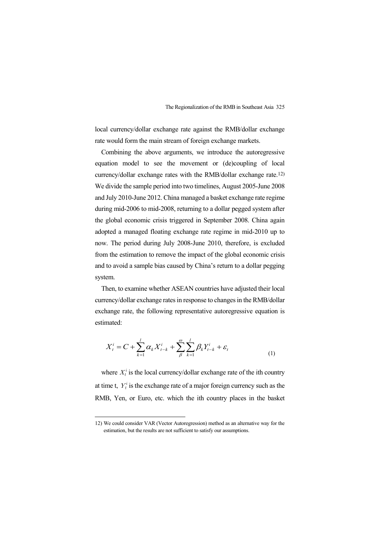local currency/dollar exchange rate against the RMB/dollar exchange rate would form the main stream of foreign exchange markets.

Combining the above arguments, we introduce the autoregressive equation model to see the movement or (de)coupling of local currency/dollar exchange rates with the RMB/dollar exchange rate.12) We divide the sample period into two timelines, August 2005-June 2008 and July 2010-June 2012. China managed a basket exchange rate regime during mid-2006 to mid-2008, returning to a dollar pegged system after the global economic crisis triggered in September 2008. China again adopted a managed floating exchange rate regime in mid-2010 up to now. The period during July 2008-June 2010, therefore, is excluded from the estimation to remove the impact of the global economic crisis and to avoid a sample bias caused by China's return to a dollar pegging system.

Then, to examine whether ASEAN countries have adjusted their local currency/dollar exchange rates in response to changes in the RMB/dollar exchange rate, the following representative autoregressive equation is estimated:

$$
X_t^i = C + \sum_{k=1}^l \alpha_k X_{t-k}^i + \sum_{\beta}^{\omega} \sum_{k=1}^l \beta_k Y_{t-k}^i + \varepsilon_t
$$
\n(1)

where  $X_t^i$  is the local currency/dollar exchange rate of the ith country at time t,  $Y_t^i$  is the exchange rate of a major foreign currency such as the RMB, Yen, or Euro, etc. which the ith country places in the basket

<sup>12)</sup> We could consider VAR (Vector Autoregression) method as an alternative way for the estimation, but the results are not sufficient to satisfy our assumptions.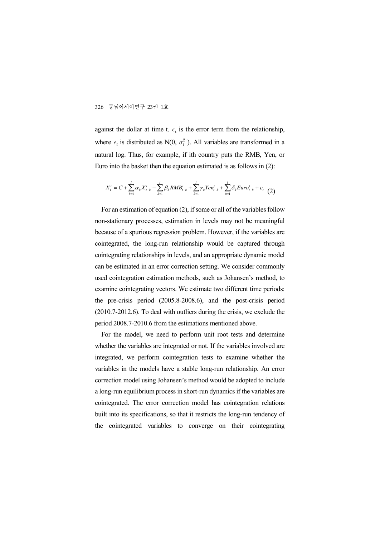against the dollar at time t.  $\epsilon_t$  is the error term from the relationship, where  $\epsilon_t$  is distributed as N(0,  $\sigma_t^2$ ). All variables are transformed in a natural log. Thus, for example, if ith country puts the RMB, Yen, or Euro into the basket then the equation estimated is as follows in (2):

$$
X_t^i = C + \sum_{k=1}^l \alpha_k X_{t-k}^i + \sum_{k=1}^l \beta_k RMB_{t-k}^i + \sum_{k=1}^l \gamma_k Y en_{t-k}^i + \sum_{k=1}^l \delta_k Euro_{t-k}^i + \varepsilon_t \tag{2}
$$

For an estimation of equation (2), if some or all of the variables follow non-stationary processes, estimation in levels may not be meaningful because of a spurious regression problem. However, if the variables are cointegrated, the long-run relationship would be captured through cointegrating relationships in levels, and an appropriate dynamic model can be estimated in an error correction setting. We consider commonly used cointegration estimation methods, such as Johansen's method, to examine cointegrating vectors. We estimate two different time periods: the pre-crisis period (2005.8-2008.6), and the post-crisis period (2010.7-2012.6). To deal with outliers during the crisis, we exclude the period 2008.7-2010.6 from the estimations mentioned above.

For the model, we need to perform unit root tests and determine whether the variables are integrated or not. If the variables involved are integrated, we perform cointegration tests to examine whether the variables in the models have a stable long-run relationship. An error correction model using Johansen's method would be adopted to include a long-run equilibrium process in short-run dynamics if the variables are cointegrated. The error correction model has cointegration relations built into its specifications, so that it restricts the long-run tendency of the cointegrated variables to converge on their cointegrating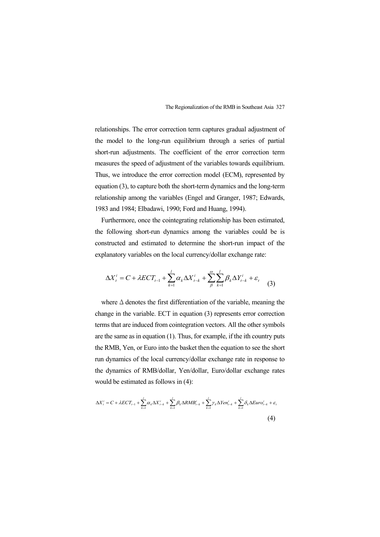relationships. The error correction term captures gradual adjustment of the model to the long-run equilibrium through a series of partial short-run adjustments. The coefficient of the error correction term measures the speed of adjustment of the variables towards equilibrium. Thus, we introduce the error correction model (ECM), represented by equation (3), to capture both the short-term dynamics and the long-term relationship among the variables (Engel and Granger, 1987; Edwards, 1983 and 1984; Elbadawi, 1990; Ford and Huang, 1994).

Furthermore, once the cointegrating relationship has been estimated, the following short-run dynamics among the variables could be is constructed and estimated to determine the short-run impact of the explanatory variables on the local currency/dollar exchange rate:

$$
\Delta X_t^i = C + \lambda ECT_{t-1} + \sum_{k=1}^l \alpha_k \Delta X_{t-k}^i + \sum_{\beta}^{\omega} \sum_{k=1}^l \beta_k \Delta Y_{t-k}^i + \varepsilon_t \tag{3}
$$

where  $\Delta$  denotes the first differentiation of the variable, meaning the change in the variable. ECT in equation (3) represents error correction terms that are induced from cointegration vectors. All the other symbols are the same as in equation (1). Thus, for example, if the ith country puts the RMB, Yen, or Euro into the basket then the equation to see the short run dynamics of the local currency/dollar exchange rate in response to the dynamics of RMB/dollar, Yen/dollar, Euro/dollar exchange rates would be estimated as follows in (4):

$$
\Delta X_t^i = C + \lambda ECT_{t-1} + \sum_{k=1}^l \alpha_k \Delta X_{t-k}^i + \sum_{k=1}^l \beta_k \Delta RMB_{t-k}^i + \sum_{k=1}^l \gamma_k \Delta Yen_{t-k}^i + \sum_{k=1}^l \delta_k \Delta Euro_{t-k}^i + \varepsilon_t
$$
\n
$$
\tag{4}
$$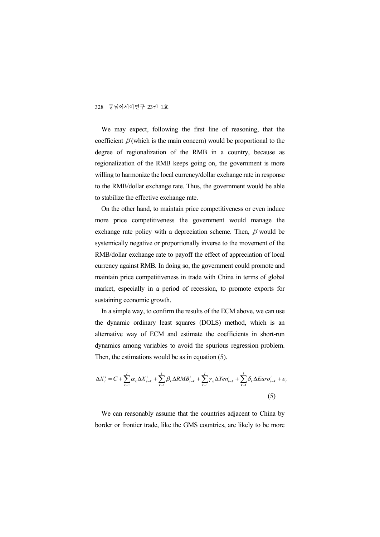We may expect, following the first line of reasoning, that the coefficient  $\beta$  (which is the main concern) would be proportional to the degree of regionalization of the RMB in a country, because as regionalization of the RMB keeps going on, the government is more willing to harmonize the local currency/dollar exchange rate in response to the RMB/dollar exchange rate. Thus, the government would be able to stabilize the effective exchange rate.

On the other hand, to maintain price competitiveness or even induce more price competitiveness the government would manage the exchange rate policy with a depreciation scheme. Then,  $\beta$  would be systemically negative or proportionally inverse to the movement of the RMB/dollar exchange rate to payoff the effect of appreciation of local currency against RMB. In doing so, the government could promote and maintain price competitiveness in trade with China in terms of global market, especially in a period of recession, to promote exports for sustaining economic growth.

In a simple way, to confirm the results of the ECM above, we can use the dynamic ordinary least squares (DOLS) method, which is an alternative way of ECM and estimate the coefficients in short-run dynamics among variables to avoid the spurious regression problem. Then, the estimations would be as in equation (5).

$$
\Delta X_t^i = C + \sum_{k=1}^l \alpha_k \Delta X_{t-k}^i + \sum_{k=1}^l \beta_k \Delta RMB_{t-k}^i + \sum_{k=1}^l \gamma_k \Delta Y en_{t-k}^i + \sum_{k=1}^l \delta_k \Delta Euro_{t-k}^i + \varepsilon_t
$$
\n(5)

*t*

We can reasonably assume that the countries adjacent to China by border or frontier trade, like the GMS countries, are likely to be more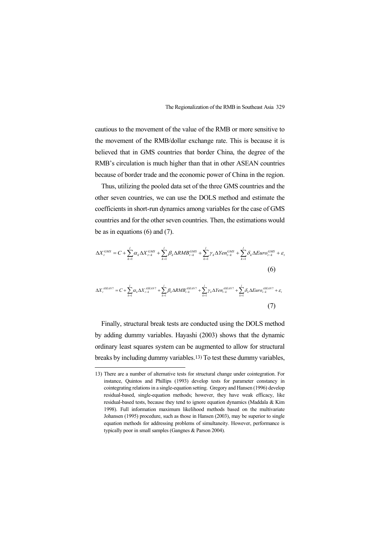*k*

 $k=1$   $k=1$ 

 $k=1$ 

 $=1$ 

1

cautious to the movement of the value of the RMB or more sensitive to the movement of the RMB/dollar exchange rate. This is because it is believed that in GMS countries that border China, the degree of the RMB's circulation is much higher than that in other ASEAN countries because of border trade and the economic power of China in the region.

Thus, utilizing the pooled data set of the three GMS countries and the other seven countries, we can use the DOLS method and estimate the coefficients in short-run dynamics among variables for the case of GMS countries and for the other seven countries. Then, the estimations would be as in equations (6) and (7).

$$
\Delta X_t^{GMS} = C + \sum_{k=1}^l \alpha_k \Delta X_{t-k}^{GMS} + \sum_{k=1}^l \beta_k \Delta RMB_{t-k}^{GMS} + \sum_{k=1}^l \gamma_k \Delta Yen_{t-k}^{GMS} + \sum_{k=1}^l \delta_k \Delta Euro_{t-k}^{GMS} + \varepsilon_t
$$
\n
$$
(6)
$$
\n
$$
\Delta X_t^{ASEAN7} = C + \sum_{k=1}^l \alpha_k \Delta X_{t-k}^{ASEAN7} + \sum_{k=1}^l \beta_k \Delta RMB_{t-k}^{ASEAN7} + \sum_{k=1}^l \gamma_k \Delta Yen_{t-k}^{ASEAN7} + \sum_{k=1}^l \delta_k \Delta Euro_{t-k}^{ASEAN7} + \varepsilon_t
$$

 $k=1$   $k=1$ 

 $k=1$   $k=1$ 

 $k=1$   $k=1$   $k=1$ 

(7) Finally, structural break tests are conducted using the DOLS method by adding dummy variables. Hayashi (2003) shows that the dynamic ordinary least squares system can be augmented to allow for structural

breaks by including dummy variables.13) To test these dummy variables,

<sup>13)</sup> There are a number of alternative tests for structural change under cointegration. For instance, Quintos and Phillips (1993) develop tests for parameter constancy in cointegrating relations in a single-equation setting. Gregory and Hansen (1996) develop residual-based, single-equation methods; however, they have weak efficacy, like residual-based tests, because they tend to ignore equation dynamics (Maddala & Kim 1998). Full information maximum likelihood methods based on the multivariate Johansen (1995) procedure, such as those in Hansen (2003), may be superior to single equation methods for addressing problems of simultaneity. However, performance is typically poor in small samples (Gangnes & Parson 2004).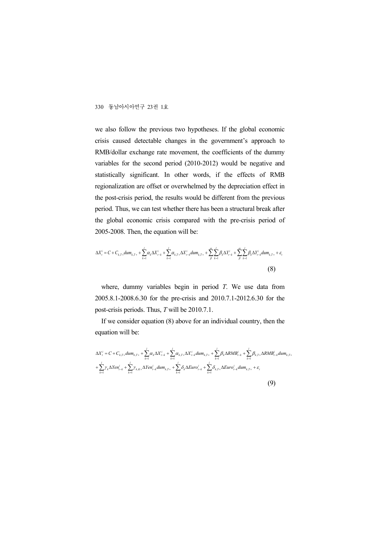we also follow the previous two hypotheses. If the global economic crisis caused detectable changes in the government's approach to RMB/dollar exchange rate movement, the coefficients of the dummy variables for the second period (2010-2012) would be negative and statistically significant. In other words, if the effects of RMB regionalization are offset or overwhelmed by the depreciation effect in the post-crisis period, the results would be different from the previous period. Thus, we can test whether there has been a structural break after the global economic crisis compared with the pre-crisis period of 2005-2008. Then, the equation will be:

$$
\Delta X_t^i = C + C_{k,T+}dum_{k,T+} + \sum_{k=1}^l \alpha_k \Delta X_{t-k}^i + \sum_{k=1}^l \alpha_{k,T+} \Delta X_{t-k}^i dum_{k,T+} + \sum_{\beta}^{\infty} \sum_{k=1}^l \beta_k \Delta Y_{t-k}^i + \sum_{\beta}^{\infty} \sum_{k=1}^l \beta_k \Delta Y_{t-k}^i dum_{k,T+} + \varepsilon_t
$$
\n(8)

where, dummy variables begin in period *T*. We use data from 2005.8.1-2008.6.30 for the pre-crisis and 2010.7.1-2012.6.30 for the post-crisis periods. Thus, *T* will be 2010.7.1.

If we consider equation (8) above for an individual country, then the equation will be:

$$
\Delta X_{t}^{i} = C + C_{k,T+} \frac{1}{2} \alpha_{k,T+} + \sum_{k=1}^{l} \alpha_{k} \Delta X_{t-k}^{i} + \sum_{k=1}^{l} \alpha_{k,T+} \Delta X_{t-k}^{i} \frac{1}{2} \alpha_{k,T+} + \sum_{k=1}^{l} \beta_{k} \Delta RMB_{t-k}^{i} + \sum_{k=1}^{l} \beta_{k,T+} \Delta RMB_{t-k}^{i} \frac{1}{2} \alpha_{k,T+} + \sum_{k=1}^{l} \gamma_{k} \Delta Sen_{t-k}^{i} + \sum_{k=1}^{l} \gamma_{k} \Delta Sen_{t-k}^{i} \frac{1}{2} \alpha_{k,T+} + \sum_{k=1}^{l} \delta_{k} \Delta Euro_{t-k}^{i} + \sum_{k=1}^{l} \delta_{k,T+} \Delta Euro_{t-k}^{i} \frac{1}{2} \alpha_{k,T+} + \varepsilon_{t}
$$
\n(9)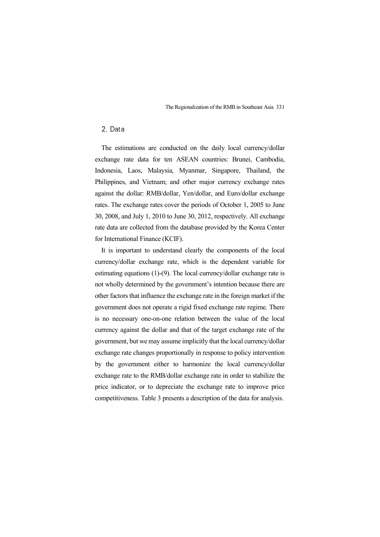#### 2. Data

The estimations are conducted on the daily local currency/dollar exchange rate data for ten ASEAN countries: Brunei, Cambodia, Indonesia, Laos, Malaysia, Myanmar, Singapore, Thailand, the Philippines, and Vietnam; and other major currency exchange rates against the dollar: RMB/dollar, Yen/dollar, and Euro/dollar exchange rates. The exchange rates cover the periods of October 1, 2005 to June 30, 2008, and July 1, 2010 to June 30, 2012, respectively. All exchange rate data are collected from the database provided by the Korea Center for International Finance (KCIF).

It is important to understand clearly the components of the local currency/dollar exchange rate, which is the dependent variable for estimating equations (1)-(9). The local currency/dollar exchange rate is not wholly determined by the government's intention because there are other factors that influence the exchange rate in the foreign market if the government does not operate a rigid fixed exchange rate regime. There is no necessary one-on-one relation between the value of the local currency against the dollar and that of the target exchange rate of the government, but we may assume implicitly that the local currency/dollar exchange rate changes proportionally in response to policy intervention by the government either to harmonize the local currency/dollar exchange rate to the RMB/dollar exchange rate in order to stabilize the price indicator, or to depreciate the exchange rate to improve price competitiveness. Table 3 presents a description of the data for analysis.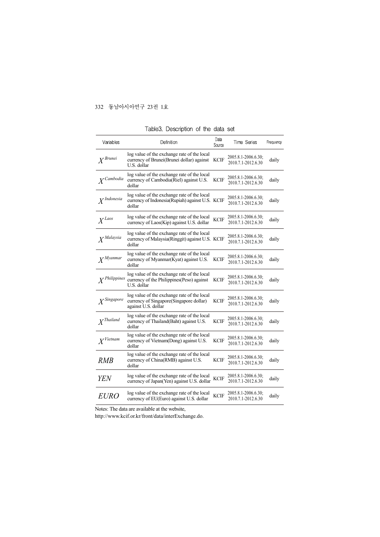| Variables              | Definition                                                                                                    | Data<br>Source | Time Series                               | Frequency |
|------------------------|---------------------------------------------------------------------------------------------------------------|----------------|-------------------------------------------|-----------|
| $X^{Brunei}$           | log value of the exchange rate of the local<br>currency of Brunei (Brunei dollar) against<br>U.S. dollar      | KCIF           | 2005.8.1-2006.6.30;<br>2010.7.1-2012.6.30 | daily     |
| $X^{Cambodia}$         | log value of the exchange rate of the local<br>currency of Cambodia (Riel) against U.S.<br>dollar             | <b>KCIF</b>    | 2005.8.1-2006.6.30;<br>2010.7.1-2012.6.30 | daily     |
| X <sup>Indonesia</sup> | log value of the exchange rate of the local<br>currency of Indonesia (Rupiah) against U.S. KCIF<br>dollar     |                | 2005.8.1-2006.6.30;<br>2010.7.1-2012.6.30 | daily     |
| $X^{Laos}$             | log value of the exchange rate of the local<br>currency of Laos(Kip) against U.S. dollar                      | <b>KCIF</b>    | 2005.8.1-2006.6.30;<br>2010.7.1-2012.6.30 | daily     |
| $X^{Malaysia}$         | log value of the exchange rate of the local<br>currency of Malaysia(Ringgit) against U.S. KCIF<br>dollar      |                | 2005.8.1-2006.6.30;<br>2010.7.1-2012.6.30 | daily     |
| $X^{Myammar}$          | log value of the exchange rate of the local<br>currency of Myanmar(Kyat) against U.S.<br>dollar               | KCIF           | 2005.8.1-2006.6.30;<br>2010.7.1-2012.6.30 | daily     |
| $X^{Philippines}$      | log value of the exchange rate of the local<br>currency of the Philippines (Peso) against<br>U.S. dollar      | KCIF           | 2005.8.1-2006.6.30;<br>2010.7.1-2012.6.30 | daily     |
| $X^{Singapore}$        | log value of the exchange rate of the local<br>currency of Singapore(Singapore dollar)<br>against U.S. dollar | <b>KCIF</b>    | 2005.8.1-2006.6.30;<br>2010.7.1-2012.6.30 | daily     |
| $X^{Thailand}$         | log value of the exchange rate of the local<br>currency of Thailand(Baht) against U.S.<br>dollar              | <b>KCIF</b>    | 2005.8.1-2006.6.30;<br>2010.7.1-2012.6.30 | daily     |
| $X^{Vietnam}$          | log value of the exchange rate of the local<br>currency of Vietnam (Dong) against U.S.<br>dollar              | <b>KCIF</b>    | 2005.8.1-2006.6.30;<br>2010.7.1-2012.6.30 | daily     |
| RMB                    | log value of the exchange rate of the local<br>currency of China(RMB) against U.S.<br>dollar                  | <b>KCIF</b>    | 2005.8.1-2006.6.30;<br>2010.7.1-2012.6.30 | daily     |
| <b>YEN</b>             | log value of the exchange rate of the local<br>currency of Japan(Yen) against U.S. dollar                     | <b>KCIF</b>    | 2005.8.1-2006.6.30;<br>2010.7.1-2012.6.30 | daily     |
| <i>EURO</i>            | log value of the exchange rate of the local<br>currency of EU(Euro) against U.S. dollar                       | <b>KCIF</b>    | 2005.8.1-2006.6.30;<br>2010.7.1-2012.6.30 | daily     |

Table3. Description of the data set

Notes: The data are available at the website,

http://www.kcif.or.kr/front/data/interExchange.do.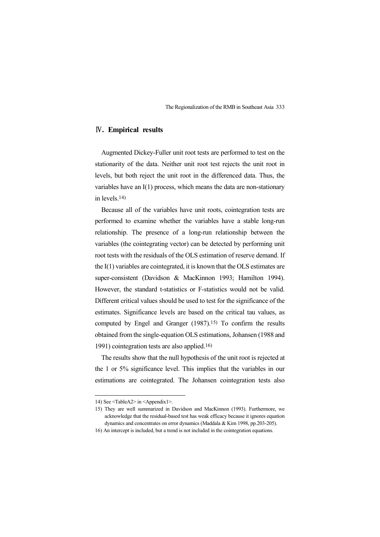#### Ⅳ**. Empirical results**

Augmented Dickey-Fuller unit root tests are performed to test on the stationarity of the data. Neither unit root test rejects the unit root in levels, but both reject the unit root in the differenced data. Thus, the variables have an I(1) process, which means the data are non-stationary in levels.14)

Because all of the variables have unit roots, cointegration tests are performed to examine whether the variables have a stable long-run relationship. The presence of a long-run relationship between the variables (the cointegrating vector) can be detected by performing unit root tests with the residuals of the OLS estimation of reserve demand. If the I(1) variables are cointegrated, it is known that the OLS estimates are super-consistent (Davidson & MacKinnon 1993; Hamilton 1994). However, the standard t-statistics or F-statistics would not be valid. Different critical values should be used to test for the significance of the estimates. Significance levels are based on the critical tau values, as computed by Engel and Granger (1987).15) To confirm the results obtained from the single-equation OLS estimations, Johansen (1988 and 1991) cointegration tests are also applied.16)

The results show that the null hypothesis of the unit root is rejected at the 1 or 5% significance level. This implies that the variables in our estimations are cointegrated. The Johansen cointegration tests also

<sup>14)</sup> See <TableA2> in <Appendix1>.

<sup>15)</sup> They are well summarized in Davidson and MacKinnon (1993). Furthermore, we acknowledge that the residual-based test has weak efficacy because it ignores equation dynamics and concentrates on error dynamics (Maddala & Kim 1998, pp.203-205).

<sup>16)</sup> An intercept is included, but a trend is not included in the cointegration equations.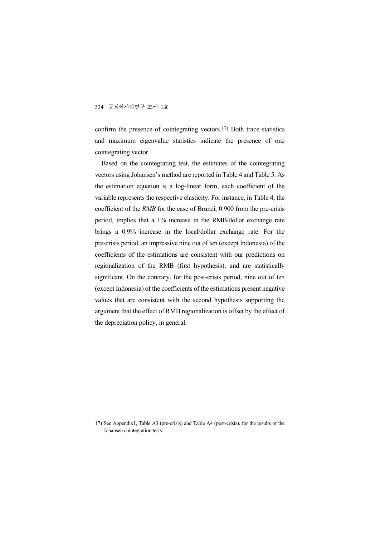confirm the presence of cointegrating vectors.17) Both trace statistics and maximum eigenvalue statistics indicate the presence of one cointegrating vector.

Based on the cointegrating test, the estimates of the cointegrating vectors using Johansen's method are reported in Table 4 and Table 5. As the estimation equation is a log-linear form, each coefficient of the variable represents the respective elasticity. For instance, in Table 4, the coefficient of the *RMB* for the case of Brunei, 0.900 from the pre-crisis period, implies that a 1% increase in the RMB/dollar exchange rate brings a 0.9% increase in the local/dollar exchange rate. For the pre-crisis period, an impressive nine out of ten (except Indonesia) of the coefficients of the estimations are consistent with our predictions on regionalization of the RMB (first hypothesis), and are statistically significant. On the contrary, for the post-crisis period, nine out of ten (except Indonesia) of the coefficients of the estimations present negative values that are consistent with the second hypothesis supporting the argument that the effect of RMB regionalization is offset by the effect of the depreciation policy, in general.

<sup>17)</sup> See Appendix1, Table A3 (pre-crisis) and Table A4 (post-crisis), for the results of the Johansen cointegration tests.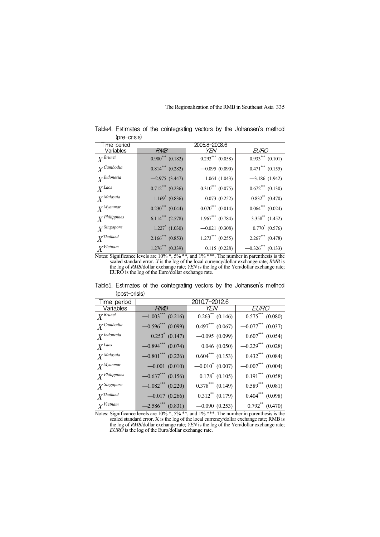| $(D)$ $E$ $D$ $D$      |                                |                       |                                 |
|------------------------|--------------------------------|-----------------------|---------------------------------|
| Time period            |                                | 2005.8-2008.6         |                                 |
| Variables              | RMB                            | YFN                   | EURO                            |
| $X^{Brunei}$           | $0.900^{***}$ (0.182)          | $0.293***$ $(0.058)$  | $0.933***$ $(0.101)$            |
| $X^{Cambodia}$         | $0.814$ <sup>***</sup> (0.282) | $-0.095(0.090)$       | $0.471***$ $(0.155)$            |
| X <sup>Indonesia</sup> | $-2.975(3.447)$                | 1.064(1.043)          | $-3.186(1.942)$                 |
| $X^{Laos}$             | $0.712***$ (0.236)             | $0.310^{***}$ (0.075) | $0.672***$ (0.130)              |
| $X^{Malaysia}$         | $1.169^*$ (0.836)              | 0.073(0.252)          | $0.832$ <sup>**</sup> $(0.470)$ |
| $X^{Myanmar}$          | $0.230***$ $(0.044)$           | $0.070***$ (0.014)    | $0.064***$ $(0.024)$            |
| $X^{Philippines}$      | $6.114***$ (2.578)             | $1.967***$ (0.784)    | $3.358$ (1.452)                 |
| $X^{Singapore}$        | $1.227$ <sup>*</sup> (1.030)   | $-0.021(0.308)$       | $0.770^*$ $(0.576)$             |
| $X^{Thailand}$         | $2.166$ <sup>***</sup> (0.853) | $1.273***$ (0.255)    | $2.267***$ (0.478)              |
| X <sup>Vi</sup> etnam  | $1.276***$ (0.339)             | 0.115(0.228)          | $-0.326***$ (0.133)             |

Table4. Estimates of the cointegrating vectors by the Johansen's method (pre-crisis)

Notes: Significance levels are 10% \*, 5% \*\*, and 1% \*\*\*. The number in parenthesis is the scaled standard error. *X* is the log of the local currency/dollar exchange rate; *RMB* is the log of *RMB*/dollar exchange rate; *YEN* is the log of the Yen/dollar exchange rate; EURO is the log of the Euro/dollar exchange rate.

| (DOSL-CHSIS)             |                                 |                                  |                                 |
|--------------------------|---------------------------------|----------------------------------|---------------------------------|
| ime period               |                                 | 2010.7-2012.6                    |                                 |
| Variables                | <b>RMB</b>                      | YFN                              | <i>EURO</i>                     |
| $X^{Brunei}$             | $-1.003$ <sup>***</sup> (0.216) | $0.263$ <sup>**</sup> $(0.146)$  | $0.575***$ (0.080)              |
| $Y^{Cambodia}$           | $-0.596$ *** (0.099)            | $0.497***$ $(0.067)$             | $-0.077$ *** (0.037)            |
| $X^{Indonesia}$          | $0.253^*$ (0.147)               | $-0.095(0.099)$                  | $0.607***$ $(0.054)$            |
| $X^{Laos}$               | $-0.894$ <sup>***</sup> (0.074) | $0.046$ $(0.050)$                | $-0.229$ <sup>***</sup> (0.028) |
| $X^{Malaysia}$           | $-0.801$ <sup>***</sup> (0.226) | $0.604$ <sup>***</sup> $(0.153)$ | $0.432***$ $(0.084)$            |
| $X^{Myanmar}$            | $-0.001(0.010)$                 | $-0.010^*$ (0.007)               | $-0.007***$ (0.004)             |
| Y <sup>Philippines</sup> | $-0.637***$ (0.156)             | $0.178^*$ (0.105)                | $0.191***$ $(0.058)$            |
| $Y$ Singapore            | $-1.082$ <sup>***</sup> (0.220) | $0.378$ *** (0.149)              | $0.589***$ $(0.081)$            |
| $Y^{Thailand}$           | $-0.017(0.266)$                 | $0.312$ <sup>**</sup> $(0.179)$  | $0.404***$ $(0.098)$            |
| X <sup>Vietnam</sup>     | $-2.586$ *** (0.831)            | $-0.090(0.253)$                  | $0.792**$ $(0.470)$             |

Table5. Estimates of the cointegrating vectors by the Johansen's method (post-crisis)

Notes: Significance levels are 10% \*, 5% \*\*, and 1% \*\*\*. The number in parenthesis is the scaled standard error. X is the log of the local currency/dollar exchange rate; RMB is the log of *RMB*/dollar exchange rate; *YEN* is the log of the Yen/dollar exchange rate; *EURO* is the log of the Euro/dollar exchange rate.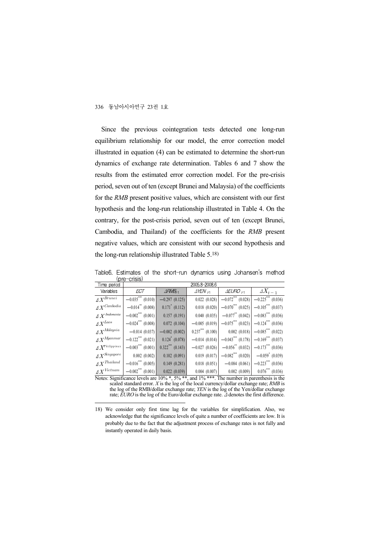Since the previous cointegration tests detected one long-run equilibrium relationship for our model, the error correction model illustrated in equation (4) can be estimated to determine the short-run dynamics of exchange rate determination. Tables 6 and 7 show the results from the estimated error correction model. For the pre-crisis period, seven out of ten (except Brunei and Malaysia) of the coefficients for the *RMB* present positive values, which are consistent with our first hypothesis and the long-run relationship illustrated in Table 4. On the contrary, for the post-crisis period, seven out of ten (except Brunei, Cambodia, and Thailand) of the coefficients for the *RMB* present negative values, which are consistent with our second hypothesis and the long-run relationship illustrated Table 5.18)

| $\sim$<br>Time period                  |                                   |                               | 2005.8-2008.6        |                                 |                                                                                                            |
|----------------------------------------|-----------------------------------|-------------------------------|----------------------|---------------------------------|------------------------------------------------------------------------------------------------------------|
| Variables                              | ECT                               | $\triangle$ RMB <sub>F1</sub> | $\Delta$ YEN $_{F1}$ | $\triangle EURO$ $\mapsto$      | $\Delta X_{t-1}$                                                                                           |
| $\Delta X^{Brunei}$                    | $\overline{-0.035}^{***}$ (0.010) | $-0.297(0.125)$               | $0.022$ $(0.028)$    | $-0.072$ <sup>***</sup> (0.028) | $-0.225***$ (0.036)                                                                                        |
| $\mathit{\Delta X}{}^{Cambodia}$       | $-0.014$ (0.008)                  | $0.171^*$ (0.112)             | $0.018$ $(0.020)$    | $-0.070^{***}$ (0.025)          | $-0.105$ *** (0.037)                                                                                       |
| $\varDelta \, X^{\mathit{Indonesia}}$  | $-0.002***$ (0.001)               | 0.157(0.191)                  | 0.040(0.035)         | $-0.077$ <sup>**</sup> (0.042)  | $-0.083$ *** (0.036)                                                                                       |
| $\mathit{\Delta X}^{Loos}$             | $-0.024***$ (0.008)               | 0.072(0.104)                  | $-0.005(0.019)$      | $-0.075***$ (0.023)             | $-0.124$ (0.036)                                                                                           |
| $\varDelta X^{Malaysia}$               | $-0.014(0.037)$                   | $-0.002(0.002)$               | $0.237***$ $(0.100)$ | 0.002(0.018)                    | $-0.085***$ (0.022)                                                                                        |
| $\varDelta X^{M\!yannar}$              | $-0.122***$ (0.021)               | $0.124$ (0.078)               | $-0.014(0.014)$      | $-0.043***$ (0.178)             | $-0.169$ <sup>***</sup> (0.037)                                                                            |
| $\mathit{\Delta X}^{\it{Philippines}}$ | $-0.003***$ (0.001)               | $0.322***$ $(0.143)$          | $-0.027(0.026)$      | $-0.056^{**}$ (0.032)           | $-0.173$ (0.036)                                                                                           |
| $\mathit{\Delta X}^{Singapore}$        | $0.002$ $(0.002)$                 | 0.102(0.091)                  | 0.019(0.017)         | $-0.082$ *** (0.020)            | $-0.059^*$ (0.039)                                                                                         |
| $\varDelta X^{Thailand}$               | $-0.016***$ (0.005)               | 0.149(0.281)                  | $0.018$ $(0.051)$    | $-0.084(0.061)$                 | $-0.223$ *** (0.036)                                                                                       |
| $\varDelta X^{Vietnam}$                | $-0.002***$ (0.001)               | 0.022(0.039)                  | $0.004$ $(0.007)$    | 0.002(0.009)                    | $0.076***$ (0.036)                                                                                         |
|                                        |                                   |                               |                      |                                 | Matage General causes Lavala and $100 \times 50$ states and $10/$ states. The members in parameter and the |

Table6. Estimates of the short-run dynamics using Johansen's method (pre-crisis)

Significance levels are  $10\%$  \*,  $5\%$  \*\*, and  $1\%$  \*\*\*. The number in parenthesis is the scaled standard error. *X* is the log of the local currency/dollar exchange rate; *RMB* is the log of the RMB/dollar exchange rate; *YEN* is the log of the Yen/dollar exchange rate; *EURO* is the log of the Euro/dollar exchange rate. Δ denotes the first difference.

<sup>18)</sup> We consider only first time lag for the variables for simplification. Also, we acknowledge that the significance levels of quite a number of coefficients are low. It is probably due to the fact that the adjustment process of exchange rates is not fully and instantly operated in daily basis.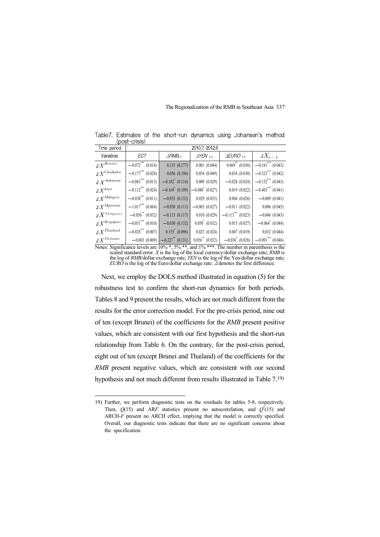| re o o c                                   | $\, \, \cdots$                  |                                |                      |                                 |                                   |
|--------------------------------------------|---------------------------------|--------------------------------|----------------------|---------------------------------|-----------------------------------|
| Time period                                |                                 |                                | 2010.7-2012.6        |                                 |                                   |
| Variables                                  | ECT                             | $\triangle$ RMB <sub>t-1</sub> | $\Delta$ YEN $_{f1}$ | $\triangle EURO$ $\mapsto$      | $\Delta X_{t-1}$                  |
| $\Delta X^{Brunei}$                        | $-0.072$ <sup>***</sup> (0.014) | 0.133(0.177)                   | 0.001(0.044)         | $0.069$ <sup>**</sup> (0.036)   | $-0.181$ <sup>***</sup> $(0.043)$ |
| $\mathit{\Delta X}{}^{Cambodia}$           | $-0.177***$ (0.028)             | 0.056(0.196)                   | 0.054(0.049)         | 0.018(0.038)                    | $-0.323***$ (0.042)               |
| $\varDelta \, X^{\mathit{Indonesia}}$      | $-0.063$ <sup>***</sup> (0.013) | $-0.182^*$ (0.116)             | $0.009$ $(0.029)$    | $-0.028(0.024)$                 | $-0.152$ <sup>***</sup> (0.043)   |
| $\Delta X^{Loos}$                          | $-0.112$ *** (0.024)            | $-0.169^*$ (0.109)             | $-0.040^*$ (0.027)   | 0.019(0.022)                    | $-0.403***$ (0.041)               |
| $\varDelta X^{Malaysia}$                   | $-0.038$ <sup>***</sup> (0.011) | $-0.033(0.132)$                | 0.029(0.033)         | $0.004$ $(0.026)$               | $-0.009(0.041)$                   |
| $\Delta X^{Myannar}$                       | $-1.017***$ (0.064)             | $-0.030(0.111)$                | $-0.003(0.027)$      | $-0.011(0.022)$                 | 0.006(0.045)                      |
| $\mathit{\Delta X}^{\textit{Philippines}}$ | $-0.056^{\ast\ast}$ (0.032)     | $-0.113(0.117)$                | 0.010(0.029)         | $-0.113$ <sup>***</sup> (0.023) | $-0.046(0.043)$                   |
| $\Delta X^{Singapore}$                     | $-0.051$ <sup>***</sup> (0.010) | $-0.030(0.132)$                | $0.050^*$ (0.032)    | 0.015(0.027)                    | $-0.064^*$ (0.044)                |
| $\varDelta X^{Thailand}$                   | $-0.028***$ (0.007)             | $0.155^* (0.096)$              | $0.023$ (0.024)      | 0.007(0.019)                    | 0.032(0.044)                      |
| $\varDelta X^{Vietnam}$                    | $-0.003(0.009)$                 | $-0.227$ <sup>**</sup> (0.131) | $0.056^{**}$ (0.032) | $-0.036^*$ (0.026)              | $-0.091$ <sup>***</sup> (0.046)   |

Table7. Estimates of the short-run dynamics using Johansen's method (post-crisis)

Notes: Significance levels are 10% \*, 5% \*\*, and 1% \*\*\*. The number in parenthesis is the scaled standard error. *X* is the log of the local currency/dollar exchange rate; *RMB* is the log of *RMB*/dollar exchange rate; *YEN* is the log of the Yen/dollar exchange rate; *EURO* is the log of the Euro/dollar exchange rate. Δ denotes the first difference.

Next, we employ the DOLS method illustrated in equation (5) for the robustness test to confirm the short-run dynamics for both periods. Tables 8 and 9 present the results, which are not much different from the results for the error correction model. For the pre-crisis period, nine out of ten (except Brunei) of the coefficients for the *RMB* present positive values, which are consistent with our first hypothesis and the short-run relationship from Table 6. On the contrary, for the post-crisis period, eight out of ten (except Brunei and Thailand) of the coefficients for the *RMB* present negative values, which are consistent with our second hypothesis and not much different from results illustrated in Table 7.19)

<sup>19)</sup> Further, we perform diagnostic tests on the residuals for tables 5-8, respectively. Then,  $Q(15)$  and ARF statistics present no autocorrelation, and  $Q^2(15)$  and ARCH-F present no ARCH effect, implying that the model is correctly specified. Overall, our diagnostic tests indicate that there are no significant concerns about the specification.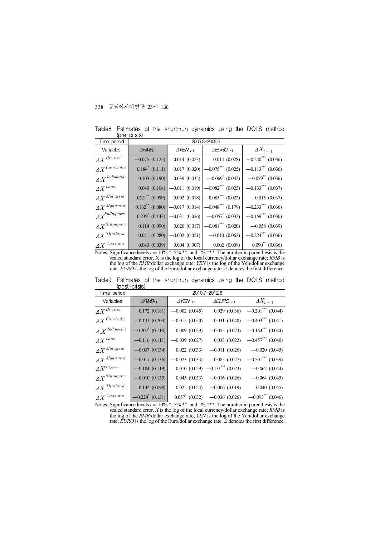| ∖∾ ∙<br>Time period                | ------                         | 2005.8-2008.6                                |                                 |                                 |  |  |  |  |  |  |
|------------------------------------|--------------------------------|----------------------------------------------|---------------------------------|---------------------------------|--|--|--|--|--|--|
| Variables                          | $\triangle$ RMB <sub>t-1</sub> | $\triangle$ YEN $_{+1}$                      | $\triangle EURO$ <sub>F1</sub>  | $\varDelta X_{t-1}$             |  |  |  |  |  |  |
| $\varDelta X^{Brunei}$             | $-0.075(0.125)$                | 0.014(0.023)                                 | 0.014(0.028)                    | $-0.240$ <sup>***</sup> (0.036) |  |  |  |  |  |  |
| $\varDelta X^{\mathit{Camboidia}}$ | $0.184^*$ (0.111)              | 0.017(0.020)                                 | $-0.075***$ (0.025)             | $-0.113$ <sup>***</sup> (0.036) |  |  |  |  |  |  |
| $\varDelta \, X^{\,Indonesia}$     | 0.103(0.190)                   | 0.039(0.035)                                 | $-0.069^*$ (0.042)              | $-0.079$ (0.036)                |  |  |  |  |  |  |
| $\varDelta X^{Laos}$               | 0.040(0.104)                   | $-0.011(0.019)$                              | $-0.082$ <sup>***</sup> (0.023) | $-0.133$ *** (0.037)            |  |  |  |  |  |  |
| $\varDelta X^{Malaysia}$           | $0.221$ <sup>**</sup> (0.099)  | 0.002(0.018)                                 | $-0.085***$ (0.022)             | $-0.015(0.037)$                 |  |  |  |  |  |  |
| $\varDelta X^{Myanmar}$            |                                | $0.162$ <sup>**</sup> (0.080) -0.017 (0.014) | $-0.048$ *** (0.179)            | $-0.233***$ (0.036)             |  |  |  |  |  |  |
| $\varDelta X^{Philippines}$        | $0.239^*$ (0.143)              | $\sim$ 0.031 (0.026)                         | $-0.057^*$ (0.032)              | $-0.159***$ (0.036)             |  |  |  |  |  |  |
| $\varDelta X^{Singapore}$          | 0.114(0.090)                   | 0.020(0.017)                                 | $-0.081$ *** (0.020)            | $-0.058(0.039)$                 |  |  |  |  |  |  |
| $\varDelta X^{\textit{Thailand}}$  | 0.021(0.280)                   | $-0.002(0.051)$                              | $-0.010(0.062)$                 | $-0.224***$ (0.036)             |  |  |  |  |  |  |
| $\varDelta X^{\mathit{Vietnam}}$   | 0.043(0.039)                   | 0.004(0.007)                                 | 0.002(0.009)                    | $0.090^{**}$ (0.036)            |  |  |  |  |  |  |

Table8. Estimates of the short-run dynamics using the DOLS method (pre-crisis)

Notes: Significance levels are  $10\%$ ,  $\frac{4}{5}\%$ ,  $\frac{4}{5}\%$ , and  $1\%$ ,  $\frac{4}{5}\%$ . The number in parenthesis is the scaled standard error. X is the log of the local currency/dollar exchange rate; *RMB* is the log of the *RMB*/dollar exchange rate; *YEN* is the log of the Yen/dollar exchange rate; *EURO* is the log of the Euro/dollar exchange rate. Δ denotes the first difference.

| (POSL UTBIS)                       |                               |                         |                            |                                 |  |  |  |
|------------------------------------|-------------------------------|-------------------------|----------------------------|---------------------------------|--|--|--|
| Time period                        |                               |                         | 2010.7-2012.6              |                                 |  |  |  |
| Variables                          | $\triangle$ RMB <sub>F1</sub> | $\triangle$ YEN $_{+1}$ | $\triangle EURO$ $\mapsto$ | $\varDelta X_{t-1}$             |  |  |  |
| $\varDelta X^{Brunei}$             | 0.172(0.181)                  | $-0.002(0.045)$         | 0.029(0.036)               | $-0.201$ <sup>***</sup> (0.044) |  |  |  |
| $\varDelta X^{\mathit{Camboidia}}$ | $-0.131(0.203)$               | $-0.015(0.050)$         | 0.031(0.040)               | $-0.403***$ (0.041)             |  |  |  |
| $\varDelta X^{~Indonesia}$         | $-0.207$ <sup>*</sup> (0.118) | $0.009$ $(0.029)$       | $-0.055(0.023)$            | $-0.164$ <sup>***</sup> (0.044) |  |  |  |
| $\varDelta X^{Laos}$               | $-0.116(0.111)$               | $-0.039(0.027)$         | 0.033(0.022)               | $-0.457***$ (0.040)             |  |  |  |
| $\varDelta X^{Malaysia}$           | $-0.037(0.134)$               | 0.022(0.033)            | $-0.011(0.026)$            | $-0.020(0.045)$                 |  |  |  |
| $\varDelta X^{Myannar}$            | $-0.017(0.136)$               | $-0.023(0.033)$         | 0.085(0.027)               | $-0.501$ <sup>***</sup> (0.039) |  |  |  |
| $\varDelta X^{Philippines}$        | $-0.104(0.119)$               | 0.010(0.029)            | $-0.131***$ (0.023)        | $-0.062(0.044)$                 |  |  |  |
| $\varDelta X^{Singapore}$          | $-0.010(0.135)$               | 0.045(0.033)            | $-0.016(0.026)$            | $-0.064(0.045)$                 |  |  |  |
| $\varDelta X^{\textit{Thailand}}$  | 0.142(0.098)                  | 0.025(0.024)            | $-0.006(0.019)$            | 0.040(0.045)                    |  |  |  |
| $\varDelta X^{\mathit{Vietnam}}$   | $-0.228$ <sup>*</sup> (0.131) | $0.057^*$ (0.032)       | $-0.036(0.026)$            | $-0.093$ ** $(0.046)$           |  |  |  |

Table9. Estimates of the short-run dynamics using the DOLS method (post-crisis)

Notes: Significance levels are 10% \*, 5% \*\*, and 1% \*\*\*. The number in parenthesis is the scaled standard error. *X* is the log of the local currency/dollar exchange rate; *RMB* is the log of the *RMB*/dollar exchange rate; *YEN* is the log of the Yen/dollar exchange rate; *EURO* is the log of the Euro/dollar exchange rate. Δ denotes the first difference.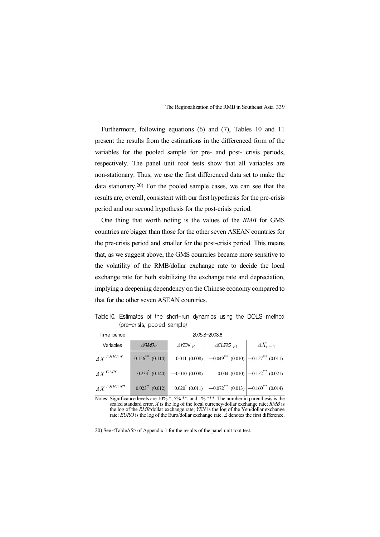Furthermore, following equations (6) and (7), Tables 10 and 11 present the results from the estimations in the differenced form of the variables for the pooled sample for pre- and post- crisis periods, respectively. The panel unit root tests show that all variables are non-stationary. Thus, we use the first differenced data set to make the data stationary.20) For the pooled sample cases, we can see that the results are, overall, consistent with our first hypothesis for the pre-crisis period and our second hypothesis for the post-crisis period.

One thing that worth noting is the values of the *RMB* for GMS countries are bigger than those for the other seven ASEAN countries for the pre-crisis period and smaller for the post-crisis period. This means that, as we suggest above, the GMS countries became more sensitive to the volatility of the RMB/dollar exchange rate to decide the local exchange rate for both stabilizing the exchange rate and depreciation, implying a deepening dependency on the Chinese economy compared to that for the other seven ASEAN countries.

|                    |  |  |                             | Table 10. Estimates of the short-run dynamics using the DOLS method |  |  |
|--------------------|--|--|-----------------------------|---------------------------------------------------------------------|--|--|
|                    |  |  | (pre-crisis, pooled sample) |                                                                     |  |  |
| المحامد وبالمحافظة |  |  |                             | OOOF ALAQOO A                                                       |  |  |

| Time period            |                                              | 2005.8-2008.6                    |                                                                                       |                                                  |  |  |  |  |  |  |
|------------------------|----------------------------------------------|----------------------------------|---------------------------------------------------------------------------------------|--------------------------------------------------|--|--|--|--|--|--|
| Variables              | $\triangle$ RMB <sub><math>\pm</math>1</sub> | $\Delta$ YEN $_{\pm 1}$          | $\triangle EURO$ $\mapsto$                                                            | $\varDelta X_{t-1}$                              |  |  |  |  |  |  |
| $AX^{ASEAN}$           | $0.156***$ $(0.114)$                         |                                  | $0.011(0.008)$ $-0.049^{***}(0.010)$ $-0.157^{***}(0.011)$                            |                                                  |  |  |  |  |  |  |
| $\varDelta X^{GMS}$    |                                              | $0.233^*$ (0.144) -0.010 (0.008) |                                                                                       | $0.004$ $(0.010)$ $\left -0.152^{***}$ $(0.021)$ |  |  |  |  |  |  |
| $\mathcal{A}X^{ASEAN}$ | $0.023$ (0.012)                              |                                  | $0.020^*$ (0.011) $\Big $ -0.072 <sup>***</sup> (0.013) -0.160 <sup>***</sup> (0.014) |                                                  |  |  |  |  |  |  |

Notes: Significance levels are 10% \*, 5% \*\*, and 1% \*\*\*. The number in parenthesis is the scaled standard error. *X* is the log of the local currency/dollar exchange rate; *RMB* is the log of the *RMB*/dollar exchange rate; *YEN* is the log of the Yen/dollar exchange rate; *EURO* is the log of the Euro/dollar exchange rate. Δ denotes the first difference.

20) See <TableA5> of Appendix 1 for the results of the panel unit root test.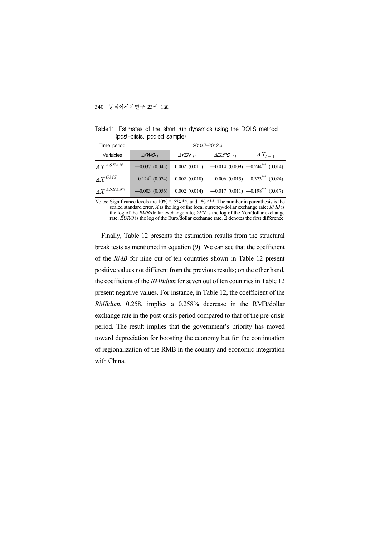| Time period            |                               | 2010.7-2012.6        |                                                          |                                                      |  |  |  |  |  |
|------------------------|-------------------------------|----------------------|----------------------------------------------------------|------------------------------------------------------|--|--|--|--|--|
| Variables              | $\triangle$ RMB <sub>F1</sub> | $\Delta$ YEN $_{F1}$ | $\Delta E U \text{\textsf{RO}}$ $_{\textsf{\textsf{H}}}$ | $\varDelta X_{t-1}$                                  |  |  |  |  |  |
| $\varLambda X^{ASEAN}$ | $-0.037(0.045)$               | 0.002(0.011)         |                                                          | $-0.014$ (0.009) $\left -0.244^{***}\right $ (0.014) |  |  |  |  |  |
| $AX^{GMS}$             | $-0.124$ (0.074)              | $0.002$ (0.018)      |                                                          | $-0.006$ (0.015) $\left -0.373^{***}\right $ (0.024) |  |  |  |  |  |
| $\Delta X^{ASEAN7}$    | $-0.003$ (0.056)              | 0.002(0.014)         |                                                          | $-0.017(0.011)$ $-0.198$ <sup>***</sup> (0.017)      |  |  |  |  |  |

Table11. Estimates of the short-run dynamics using the DOLS method (post-crisis, pooled sample)

Notes: Significance levels are 10% \*, 5% \*\*, and 1% \*\*\*. The number in parenthesis is the scaled standard error. *X* is the log of the local currency/dollar exchange rate; *RMB* is the log of the *RMB*/dollar exchange rate; *YEN* is the log of the Yen/dollar exchange rate; *EURO* is the log of the Euro/dollar exchange rate. Δ denotes the first difference.

Finally, Table 12 presents the estimation results from the structural break tests as mentioned in equation (9). We can see that the coefficient of the *RMB* for nine out of ten countries shown in Table 12 present positive values not different from the previous results; on the other hand, the coefficient of the *RMBdum* for seven out of ten countries in Table 12 present negative values. For instance, in Table 12, the coefficient of the *RMBdum*, 0.258, implies a 0.258% decrease in the RMB/dollar exchange rate in the post-crisis period compared to that of the pre-crisis period. The result implies that the government's priority has moved toward depreciation for boosting the economy but for the continuation of regionalization of the RMB in the country and economic integration with China.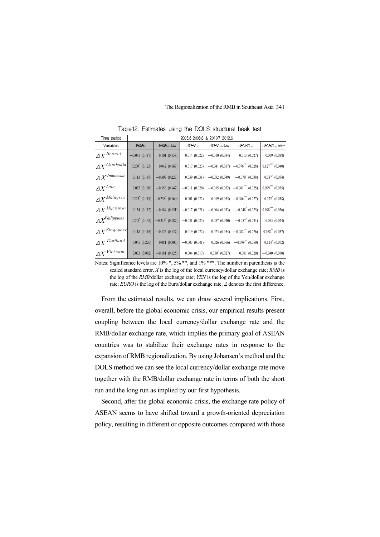| Time period                        |                                |                           |                      | 2005.8-2008.6 & 2010.7-2012.6 |                                 |                                  |
|------------------------------------|--------------------------------|---------------------------|----------------------|-------------------------------|---------------------------------|----------------------------------|
| Variables                          | $\triangle$ RMB <sub>t1</sub>  | $\triangle RMB_{t-1}$ dum | $\Delta$ YEN $_{F1}$ | ∆YEN <sub>⊦1</sub> dum        | $\triangle EURO$ <sub>F1</sub>  | $\triangle EURO + 1$ dum         |
| $\varDelta X^{Brunei}$             | $-0.061(0.117)$                | 0.101(0.158)              | 0.014(0.022)         | $-0.010(0.034)$               | 0.013(0.027)                    | $0.009$ $(0.038)$                |
| $\varDelta X^{Cambodia}$           | $0.200^*$ (0.123)              | 0.042(0.167)              | 0.017(0.023)         | $-0.041(0.037)$               | $-0.076***$ (0.028)             | $0.127$ (0.040)                  |
| $\varDelta X^{\textit{Indonesia}}$ | 0.113(0.167)                   | $-0.309(0.227)$           | 0.039(0.031)         | $-0.032(0.049)$               | $-0.070^*$ (0.038)              | $0.087^*$ (0.054)                |
| $\varDelta X^{Laos}$               | 0.025(0.109)                   | $-0.156(0.147)$           | $-0.011(0.020)$      | $-0.015(0.032)$               | $-0.081$ <sup>***</sup> (0.025) | $0.099$ <sup>***</sup> $(0.035)$ |
| $\varDelta X^{Malaysia}$           | $0.225$ <sup>*</sup> $(0.119)$ | $-0.258^*$ (0.160)        | 0.001(0.022)         | 0.019(0.035)                  | $-0.086***$ (0.027)             | $0.072^*$ (0.038)                |
| $\Delta X^{Myannar}$               | 0.154(0.112)                   | $-0.184(0.151)$           | $-0.017(0.021)$      | $-0.004(0.033)$               | $-0.048^*$ (0.025)              | $0.098$ <sup>***</sup> $(0.036)$ |
| $\varDelta X^{Philippines}$        | $0.248^*$ (0.138)              | $-0.315^*$ (0.187)        | $-0.031(0.025)$      | 0.037(0.040)                  | $-0.057^*$ (0.031)              | 0.065(0.044)                     |
| $\Delta X^{Singapore}$             | 0.118(0.116)                   | $-0.126(0.157)$           | 0.019(0.022)         | 0.025(0.034)                  | $-0.082***$ (0.026)             | $0.088^{**}$ (0.037)             |
| $\varDelta X^{\textit{Thailand}}$  | 0.045(0.226)                   | 0.081(0.305)              | $-0.003(0.041)$      | 0.026(0.066)                  | $-0.099**$ (0.050)              | $0.124^*$ (0.072)                |
| $\varDelta X^{\mathit{Vietnam}}$   | $0.033$ $(0.092)$              | $-0.181(0.125)$           | 0.004(0.017)         | $0.050^*$ (0.027)             | $0.001$ $(0.020)$               | $-0.040(0.030)$                  |

Table12. Estimates using the DOLS structural beak test

Notes: Significance levels are  $10\%$ <sup>\*</sup>,  $5\%$ <sup>\*\*</sup>, and  $1\%$ <sup>\*\*\*</sup>. The number in parenthesis is the scaled standard error. *X* is the log of the local currency/dollar exchange rate; *RMB* is the log of the *RMB*/dollar exchange rate; *YEN* is the log of the Yen/dollar exchange rate; *EURO* is the log of the Euro/dollar exchange rate. Δ denotes the first difference.

From the estimated results, we can draw several implications. First, overall, before the global economic crisis, our empirical results present coupling between the local currency/dollar exchange rate and the RMB/dollar exchange rate, which implies the primary goal of ASEAN countries was to stabilize their exchange rates in response to the expansion of RMB regionalization. By using Johansen's method and the DOLS method we can see the local currency/dollar exchange rate move together with the RMB/dollar exchange rate in terms of both the short run and the long run as implied by our first hypothesis.

Second, after the global economic crisis, the exchange rate policy of ASEAN seems to have shifted toward a growth-oriented depreciation policy, resulting in different or opposite outcomes compared with those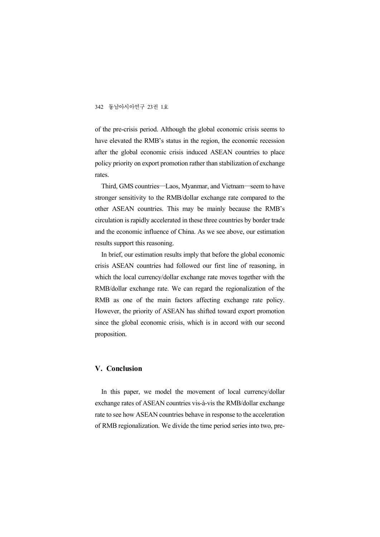of the pre-crisis period. Although the global economic crisis seems to have elevated the RMB's status in the region, the economic recession after the global economic crisis induced ASEAN countries to place policy priority on export promotion rather than stabilization of exchange rates.

Third, GMS countries―Laos, Myanmar, and Vietnam―seem to have stronger sensitivity to the RMB/dollar exchange rate compared to the other ASEAN countries. This may be mainly because the RMB's circulation is rapidly accelerated in these three countries by border trade and the economic influence of China. As we see above, our estimation results support this reasoning.

In brief, our estimation results imply that before the global economic crisis ASEAN countries had followed our first line of reasoning, in which the local currency/dollar exchange rate moves together with the RMB/dollar exchange rate. We can regard the regionalization of the RMB as one of the main factors affecting exchange rate policy. However, the priority of ASEAN has shifted toward export promotion since the global economic crisis, which is in accord with our second proposition.

#### **V. Conclusion**

In this paper, we model the movement of local currency/dollar exchange rates of ASEAN countries vis-à-vis the RMB/dollar exchange rate to see how ASEAN countries behave in response to the acceleration of RMB regionalization. We divide the time period series into two, pre-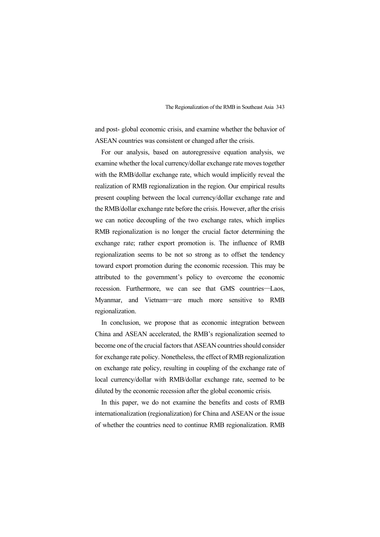and post- global economic crisis, and examine whether the behavior of ASEAN countries was consistent or changed after the crisis.

For our analysis, based on autoregressive equation analysis, we examine whether the local currency/dollar exchange rate moves together with the RMB/dollar exchange rate, which would implicitly reveal the realization of RMB regionalization in the region. Our empirical results present coupling between the local currency/dollar exchange rate and the RMB/dollar exchange rate before the crisis. However, after the crisis we can notice decoupling of the two exchange rates, which implies RMB regionalization is no longer the crucial factor determining the exchange rate; rather export promotion is. The influence of RMB regionalization seems to be not so strong as to offset the tendency toward export promotion during the economic recession. This may be attributed to the government's policy to overcome the economic recession. Furthermore, we can see that GMS countries―Laos, Myanmar, and Vietnam―are much more sensitive to RMB regionalization.

In conclusion, we propose that as economic integration between China and ASEAN accelerated, the RMB's regionalization seemed to become one of the crucial factors that ASEAN countries should consider for exchange rate policy. Nonetheless, the effect of RMB regionalization on exchange rate policy, resulting in coupling of the exchange rate of local currency/dollar with RMB/dollar exchange rate, seemed to be diluted by the economic recession after the global economic crisis.

In this paper, we do not examine the benefits and costs of RMB internationalization (regionalization) for China and ASEAN or the issue of whether the countries need to continue RMB regionalization. RMB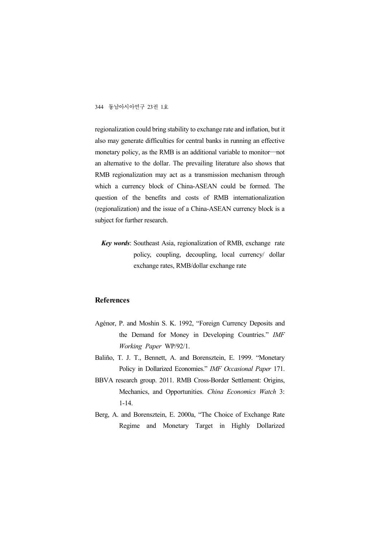regionalization could bring stability to exchange rate and inflation, but it also may generate difficulties for central banks in running an effective monetary policy, as the RMB is an additional variable to monitor―not an alternative to the dollar. The prevailing literature also shows that RMB regionalization may act as a transmission mechanism through which a currency block of China-ASEAN could be formed. The question of the benefits and costs of RMB internationalization (regionalization) and the issue of a China-ASEAN currency block is a subject for further research.

*Key words*: Southeast Asia, regionalization of RMB, exchange rate policy, coupling, decoupling, local currency/ dollar exchange rates, RMB/dollar exchange rate

#### **References**

- Agénor, P. and Moshin S. K. 1992, "Foreign Currency Deposits and the Demand for Money in Developing Countries." *IMF Working Paper* WP/92/1.
- Baliño, T. J. T., Bennett, A. and Borensztein, E. 1999. "Monetary Policy in Dollarized Economies." *IMF Occasional Paper* 171.
- BBVA research group. 2011. RMB Cross-Border Settlement: Origins, Mechanics, and Opportunities. *China Economics Watch* 3: 1-14.
- Berg, A. and Borensztein, E. 2000a, "The Choice of Exchange Rate Regime and Monetary Target in Highly Dollarized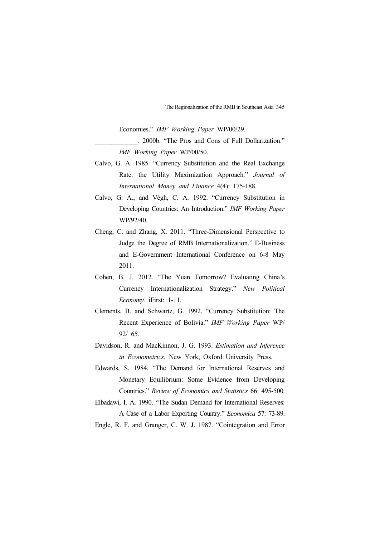Economies." *IMF Working Paper* WP/00/29.

\_\_\_\_\_\_\_\_\_\_\_\_\_. 2000b. "The Pros and Cons of Full Dollarization." *IMF Working Paper* WP/00/50.

- Calvo, G. A. 1985. "Currency Substitution and the Real Exchange Rate: the Utility Maximization Approach." *Journal of International Money and Finance* 4(4): 175-188.
- Calvo, G. A., and Végh, C. A. 1992. "Currency Substitution in Developing Countries: An Introduction." *IMF Working Paper*  WP/92/40.
- Cheng, C. and Zhang, X. 2011. "Three-Dimensional Perspective to Judge the Degree of RMB Internationalization." E-Business and E-Government International Conference on 6-8 May 2011.
- Cohen, B. J. 2012. "The Yuan Tomorrow? Evaluating China's Currency Internationalization Strategy." *New Political Economy.* iFirst: 1-11.
- Clements, B. and Schwartz, G. 1992, "Currency Substitution: The Recent Experience of Bolivia." *IMF Working Paper* WP/ 92/ 65.
- Davidson, R. and MacKinnon, J. G. 1993. *Estimation and Inference in Econometrics.* New York, Oxford University Press.
- Edwards, S. 1984. "The Demand for International Reserves and Monetary Equilibrium: Some Evidence from Developing Countries." *Review of Economics and Statistics* 66: 495-500.
- Elbadawi, I. A. 1990. "The Sudan Demand for International Reserves: A Case of a Labor Exporting Country." *Economica* 57: 73-89.

Engle, R. F. and Granger, C. W. J. 1987. "Cointegration and Error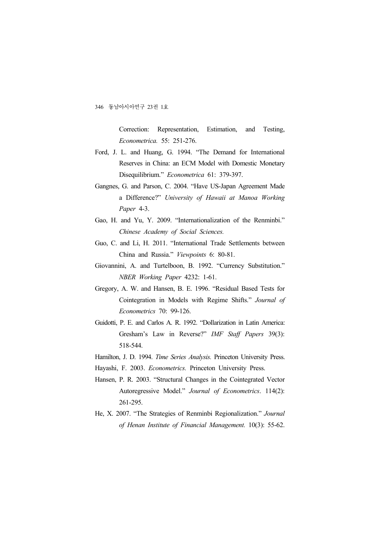Correction: Representation, Estimation, and Testing, *Econometrica.* 55: 251-276.

- Ford, J. L. and Huang, G. 1994. "The Demand for International Reserves in China: an ECM Model with Domestic Monetary Disequilibrium." *Econometrica* 61: 379-397.
- Gangnes, G. and Parson, C. 2004. "Have US-Japan Agreement Made a Difference?" *University of Hawaii at Manoa Working Paper* 4-3.
- Gao, H. and Yu, Y. 2009. "Internationalization of the Renminbi." *Chinese Academy of Social Sciences.*
- Guo, C. and Li, H. 2011. "International Trade Settlements between China and Russia." *Viewpoints* 6: 80-81.
- Giovannini, A. and Turtelboon, B. 1992. "Currency Substitution." *NBER Working Paper* 4232: 1-61.
- Gregory, A. W. and Hansen, B. E. 1996. "Residual Based Tests for Cointegration in Models with Regime Shifts." *Journal of Econometrics* 70: 99-126.
- Guidotti, P. E. and Carlos A. R. 1992. "Dollarization in Latin America: Gresham's Law in Reverse?" *IMF Staff Papers* 39(3): 518-544.
- Hamilton, J. D. 1994. *Time Series Analysis.* Princeton University Press.
- Hayashi, F. 2003. *Econometrics.* Princeton University Press.
- Hansen, P. R. 2003. "Structural Changes in the Cointegrated Vector Autoregressive Model." *Journal of Econometrics*. 114(2): 261-295.
- He, X. 2007. "The Strategies of Renminbi Regionalization." *Journal of Henan Institute of Financial Management.* 10(3): 55-62.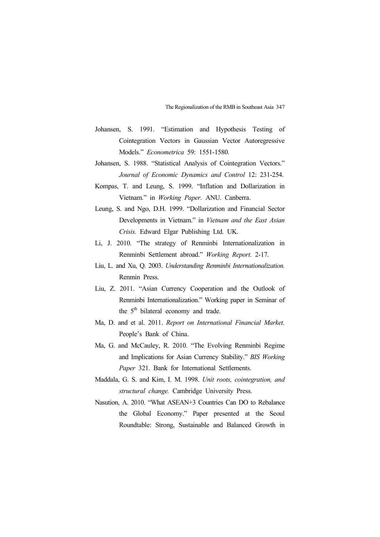- Johansen, S. 1991. "Estimation and Hypothesis Testing of Cointegration Vectors in Gaussian Vector Autoregressive Models." *Econometrica* 59: 1551-1580.
- Johansen, S. 1988. "Statistical Analysis of Cointegration Vectors." *Journal of Economic Dynamics and Control* 12: 231-254.
- Kompas, T. and Leung, S. 1999. "Inflation and Dollarization in Vietnam." in *Working Paper.* ANU. Canberra.
- Leung, S. and Ngo, D.H. 1999. "Dollarization and Financial Sector Developments in Vietnam." in *Vietnam and the East Asian Crisis.* Edward Elgar Publishing Ltd. UK.
- Li, J. 2010. "The strategy of Renminbi Internationalization in Renminbi Settlement abroad." *Working Report.* 2-17.
- Liu, L. and Xu, Q. 2003. *Understanding Renminbi Internationalization.* Renmin Press.
- Liu, Z. 2011. "Asian Currency Cooperation and the Outlook of Renminbi Internationalization." Working paper in Seminar of the  $5<sup>th</sup>$  bilateral economy and trade.
- Ma, D. and et al. 2011. *Report on International Financial Market.*  People's Bank of China.
- Ma, G. and McCauley, R. 2010. "The Evolving Renminbi Regime and Implications for Asian Currency Stability." *BIS Working Paper* 321. Bank for International Settlements.
- Maddala, G. S. and Kim, I. M. 1998. *Unit roots, cointegration, and structural change.* Cambridge University Press.
- Nasution, A. 2010. "What ASEAN+3 Countries Can DO to Rebalance the Global Economy." Paper presented at the Seoul Roundtable: Strong, Sustainable and Balanced Growth in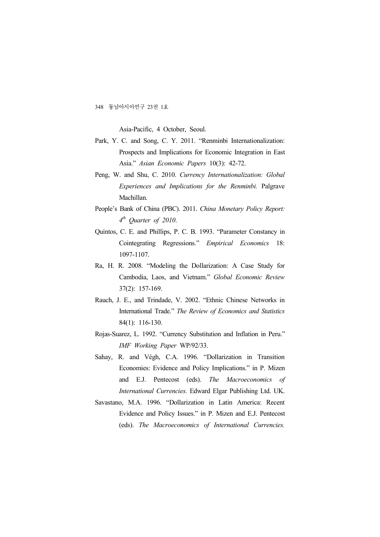Asia-Pacific, 4 October, Seoul.

- Park, Y. C. and Song, C. Y. 2011. "Renminbi Internationalization: Prospects and Implications for Economic Integration in East Asia." *Asian Economic Papers* 10(3): 42-72.
- Peng, W. and Shu, C. 2010. *Currency Internationalization: Global Experiences and Implications for the Renminbi.* Palgrave Machillan.
- People's Bank of China (PBC). 2011. *China Monetary Policy Report: 4 th Quarter of 2010*.
- Quintos, C. E. and Phillips, P. C. B. 1993. "Parameter Constancy in Cointegrating Regressions." *Empirical Economics* 18: 1097-1107.
- Ra, H. R. 2008. "Modeling the Dollarization: A Case Study for Cambodia, Laos, and Vietnam." *Global Economic Review* 37(2): 157-169.
- Rauch, J. E., and Trindade, V. 2002. "Ethnic Chinese Networks in International Trade." *The Review of Economics and Statistics* 84(1): 116-130.
- Rojas-Suarez, L. 1992. "Currency Substitution and Inflation in Peru." *IMF Working Paper* WP/92/33.
- Sahay, R. and Végh, C.A. 1996. "Dollarization in Transition Economies: Evidence and Policy Implications." in P. Mizen and E.J. Pentecost (eds). *The Macroeconomics of International Currencies.* Edward Elgar Publishing Ltd. UK.
- Savastano, M.A. 1996. "Dollarization in Latin America: Recent Evidence and Policy Issues." in P. Mizen and E.J. Pentecost (eds). *The Macroeconomics of International Currencies.*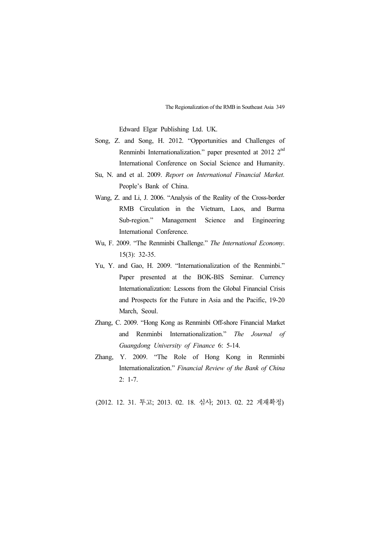Edward Elgar Publishing Ltd. UK.

- Song, Z. and Song, H. 2012. "Opportunities and Challenges of Renminbi Internationalization." paper presented at 2012  $2<sup>nd</sup>$ International Conference on Social Science and Humanity.
- Su, N. and et al. 2009. *Report on International Financial Market.* People's Bank of China.
- Wang, Z. and Li, J. 2006. "Analysis of the Reality of the Cross-border RMB Circulation in the Vietnam, Laos, and Burma Sub-region." Management Science and Engineering International Conference.
- Wu, F. 2009. "The Renminbi Challenge." *The International Economy*. 15(3): 32-35.
- Yu, Y. and Gao, H. 2009. "Internationalization of the Renminbi." Paper presented at the BOK-BIS Seminar. Currency Internationalization: Lessons from the Global Financial Crisis and Prospects for the Future in Asia and the Pacific, 19-20 March, Seoul.
- Zhang, C. 2009. "Hong Kong as Renminbi Off-shore Financial Market and Renminbi Internationalization." *The Journal of Guangdong University of Finance* 6: 5-14.
- Zhang, Y. 2009. "The Role of Hong Kong in Renminbi Internationalization." *Financial Review of the Bank of China* 2: 1-7.

(2012. 12. 31. 투고; 2013. 02. 18. 심사; 2013. 02. 22 게재확정)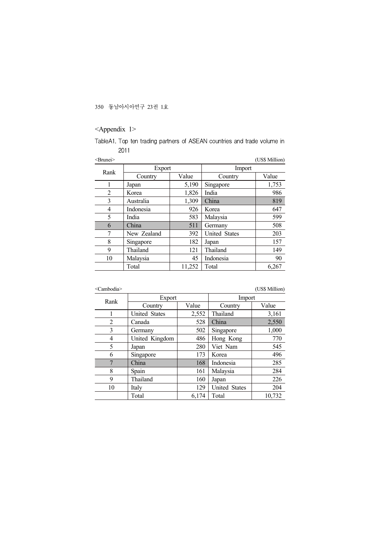## <Appendix 1>

TableA1. Top ten trading partners of ASEAN countries and trade volume in 

|             |        |                      | (US\$ Million) |  |
|-------------|--------|----------------------|----------------|--|
|             |        | Import               |                |  |
| Country     | Value  | Country              | Value          |  |
| Japan       | 5,190  | Singapore            | 1,753          |  |
| Korea       | 1,826  | India                | 986            |  |
| Australia   | 1,309  | China                | 819            |  |
| Indonesia   | 926    | Korea                | 647            |  |
| India       | 583    | Malaysia             | 599            |  |
| China       | 511    | Germany              | 508            |  |
| New Zealand | 392    | <b>United States</b> | 203            |  |
| Singapore   | 182    | Japan                | 157            |  |
| Thailand    | 121    | Thailand             | 149            |  |
| Malaysia    | 45     | Indonesia            | 90             |  |
| Total       | 11,252 | Total                | 6,267          |  |
|             |        | Export               |                |  |

<Cambodia> (US\$ Million)

| Rank           | Export         |       | Import               |        |
|----------------|----------------|-------|----------------------|--------|
|                | Country        | Value | Country              | Value  |
|                | United States  | 2,552 | Thailand             | 3,161  |
| $\overline{2}$ | Canada         | 528   | China                | 2,550  |
| 3              | Germany        | 502   | Singapore            | 1,000  |
| $\overline{4}$ | United Kingdom | 486   | Hong Kong            | 770    |
| 5              | Japan          | 280   | Viet Nam             | 545    |
| 6              | Singapore      | 173   | Korea                | 496    |
| 7              | China          | 168   | Indonesia            | 285    |
| 8              | Spain          | 161   | Malaysia             | 284    |
| 9              | Thailand       | 160   | Japan                | 226    |
| 10             | Italy          | 129   | <b>United States</b> | 204    |
|                | Total          | 6.174 | Total                | 10,732 |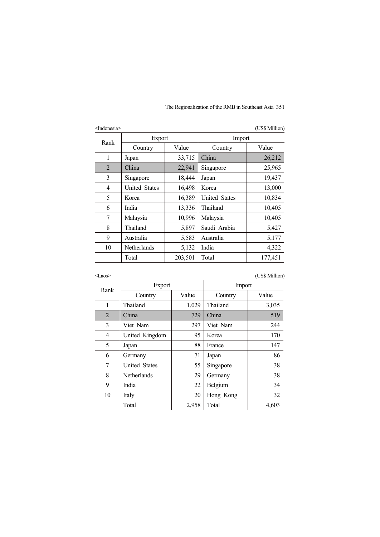| <indonesia></indonesia> |                      |         |                      | (US\$ Million) |
|-------------------------|----------------------|---------|----------------------|----------------|
|                         | Export               |         | Import               |                |
| Rank                    | Country              | Value   | Country              | Value          |
| 1                       | Japan                | 33,715  | China                | 26,212         |
| $\overline{2}$          | China                | 22,941  | Singapore            | 25,965         |
| 3                       | Singapore            | 18,444  | Japan                | 19,437         |
| 4                       | <b>United States</b> | 16,498  | Korea                | 13,000         |
| 5                       | Korea                | 16,389  | <b>United States</b> | 10,834         |
| 6                       | India                | 13,336  | Thailand             | 10,405         |
| 7                       | Malaysia             | 10,996  | Malaysia             | 10,405         |
| 8                       | Thailand             | 5,897   | Saudi Arabia         | 5,427          |
| 9                       | Australia            | 5,583   | Australia            | 5,177          |
| 10                      | Netherlands          | 5,132   | India                | 4,322          |
|                         | Total                | 203,501 | Total                | 177,451        |
|                         |                      |         |                      |                |

<Laos> (US\$ Million)

| Rank           | Export               |       | Import    |       |
|----------------|----------------------|-------|-----------|-------|
|                | Country              | Value | Country   | Value |
| 1              | Thailand             | 1,029 | Thailand  | 3,035 |
| $\overline{2}$ | China                | 729   | China     | 519   |
| 3              | Viet Nam             | 297   | Viet Nam  | 244   |
| 4              | United Kingdom       | 95    | Korea     | 170   |
| 5              | Japan                | 88    | France    | 147   |
| 6              | Germany              | 71    | Japan     | 86    |
| 7              | <b>United States</b> | 55    | Singapore | 38    |
| 8              | Netherlands          | 29    | Germany   | 38    |
| 9              | India                | 22    | Belgium   | 34    |
| 10             | Italy                | 20    | Hong Kong | 32    |
|                | Total                | 2,958 | Total     | 4,603 |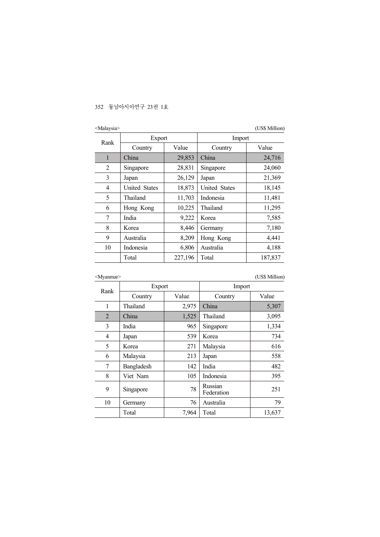| <malaysia< th=""><th></th><th></th><th></th><th>(US\$ Million)</th></malaysia<> |               |         |                      | (US\$ Million) |
|---------------------------------------------------------------------------------|---------------|---------|----------------------|----------------|
|                                                                                 | Export        |         | Import               |                |
| Rank                                                                            | Country       | Value   | Country              | Value          |
| 1                                                                               | China         | 29,853  | China                | 24,716         |
| 2                                                                               | Singapore     | 28,831  | Singapore            | 24,060         |
| 3                                                                               | Japan         | 26,129  | Japan                | 21,369         |
| $\overline{4}$                                                                  | United States | 18,873  | <b>United States</b> | 18,145         |
| 5                                                                               | Thailand      | 11,703  | Indonesia            | 11,481         |
| 6                                                                               | Hong Kong     | 10,225  | Thailand             | 11,295         |
| 7                                                                               | India         | 9,222   | Korea                | 7,585          |
| 8                                                                               | Korea         | 8,446   | Germany              | 7,180          |
| 9                                                                               | Australia     | 8,209   | Hong Kong            | 4,441          |
| 10                                                                              | Indonesia     | 6,806   | Australia            | 4,188          |
|                                                                                 | Total         | 227,196 | Total                | 187,837        |

<Myanmar> (US\$ Million)

| Export<br>Rank |            |       | Import                |        |
|----------------|------------|-------|-----------------------|--------|
|                | Country    | Value | Country               | Value  |
| 1              | Thailand   | 2,975 | China                 | 5,307  |
| $\overline{2}$ | China      | 1,525 | Thailand              | 3,095  |
| 3              | India      | 965   | Singapore             | 1,334  |
| 4              | Japan      | 539   | Korea                 | 734    |
| 5              | Korea      | 271   | Malaysia              | 616    |
| 6              | Malaysia   | 213   | Japan                 | 558    |
| 7              | Bangladesh | 142   | India                 | 482    |
| 8              | Viet Nam   | 105   | Indonesia             | 395    |
| 9              | Singapore  | 78    | Russian<br>Federation | 251    |
| 10             | Germany    | 76    | Australia             | 79     |
|                | Total      | 7,964 | Total                 | 13,637 |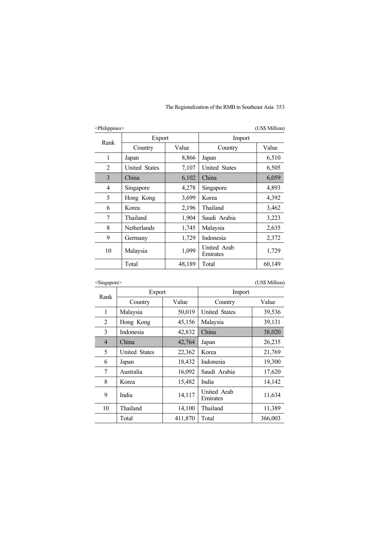| <philippines></philippines> |                      |        |                         | (US\$ Million) |
|-----------------------------|----------------------|--------|-------------------------|----------------|
| Rank                        | Export               |        | Import                  |                |
|                             | Country              | Value  | Country                 | Value          |
| 1                           | Japan                | 8,866  | Japan                   | 6,510          |
| $\mathfrak{D}$              | <b>United States</b> | 7,107  | <b>United States</b>    | 6,505          |
| 3                           | China                | 6,102  | China                   | 6,059          |
| 4                           | Singapore            | 4,278  | Singapore               | 4,893          |
| 5                           | Hong Kong            | 3,699  | Korea                   | 4,392          |
| 6                           | Korea                | 2,196  | Thailand                | 3,462          |
| 7                           | Thailand             | 1,904  | Saudi Arabia            | 3,223          |
| 8                           | <b>Netherlands</b>   | 1,745  | Malaysia                | 2,635          |
| 9                           | Germany              | 1,729  | Indonesia               | 2,372          |
| 10                          | Malaysia             | 1,099  | United Arab<br>Emirates | 1,729          |
|                             | Total                | 48,189 | Total                   | 60,149         |

<Singapore> (US\$ Million)

| Rank           |               | Export  |                         |         |
|----------------|---------------|---------|-------------------------|---------|
|                | Country       | Value   | Country                 | Value   |
| 1              | Malaysia      | 50,019  | United States           | 39,536  |
| 2              | Hong Kong     | 45,156  | Malaysia                | 39,131  |
| 3              | Indonesia     | 42,832  | China                   | 38,020  |
| $\overline{4}$ | China         | 42,764  | Japan                   | 26,235  |
| 5              | United States | 22,362  | Korea                   | 21,769  |
| 6              | Japan         | 18,432  | Indonesia               | 19,300  |
| 7              | Australia     | 16,092  | Saudi Arabia            | 17,620  |
| 8              | Korea         | 15,482  | India                   | 14,142  |
| 9              | India         | 14,117  | United Arab<br>Emirates | 11,634  |
| 10             | Thailand      | 14,100  | Thailand                | 11,389  |
|                | Total         | 411,870 | Total                   | 366,003 |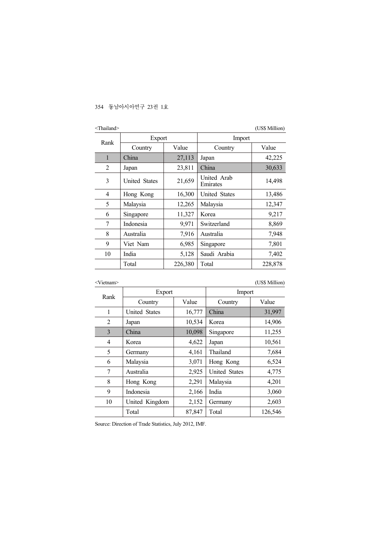| $\le$ Thailand $\ge$ |                      |         |                         | (US\$ Million) |
|----------------------|----------------------|---------|-------------------------|----------------|
| Rank                 | Export               |         | Import                  |                |
|                      | Country              | Value   | Country                 | Value          |
| $\mathbf{1}$         | China                | 27,113  | Japan                   | 42,225         |
| $\overline{2}$       | Japan                | 23,811  | China                   | 30,633         |
| 3                    | <b>United States</b> | 21,659  | United Arab<br>Emirates | 14,498         |
| 4                    | Hong Kong            | 16,300  | <b>United States</b>    | 13,486         |
| 5                    | Malaysia             | 12,265  | Malaysia                | 12,347         |
| 6                    | Singapore            | 11,327  | Korea                   | 9,217          |
| 7                    | Indonesia            | 9,971   | Switzerland             | 8,869          |
| 8                    | Australia            | 7,916   | Australia               | 7,948          |
| 9                    | Viet Nam             | 6,985   | Singapore               | 7,801          |
| 10                   | India                | 5,128   | Saudi Arabia            | 7,402          |
|                      | Total                | 226,380 | Total                   | 228,878        |

<Vietnam> (US\$ Million)

| Rank | Export               |        | Import               |         |  |
|------|----------------------|--------|----------------------|---------|--|
|      | Country              | Value  | Country              | Value   |  |
| 1    | <b>United States</b> | 16,777 | China                | 31,997  |  |
| 2    | Japan                | 10,534 | Korea                | 14,906  |  |
| 3    | China                | 10,098 | Singapore            | 11,255  |  |
| 4    | Korea                | 4,622  | Japan                | 10,561  |  |
| 5    | Germany              | 4,161  | Thailand             | 7,684   |  |
| 6    | Malaysia             | 3,071  | Hong Kong            | 6,524   |  |
| 7    | Australia            | 2,925  | <b>United States</b> | 4,775   |  |
| 8    | Hong Kong            | 2,291  | Malaysia             | 4,201   |  |
| 9    | Indonesia            | 2,166  | India                | 3,060   |  |
| 10   | United Kingdom       | 2,152  | Germany              | 2,603   |  |
|      | Total                | 87,847 | Total                | 126,546 |  |

Source: Direction of Trade Statistics, July 2012, IMF.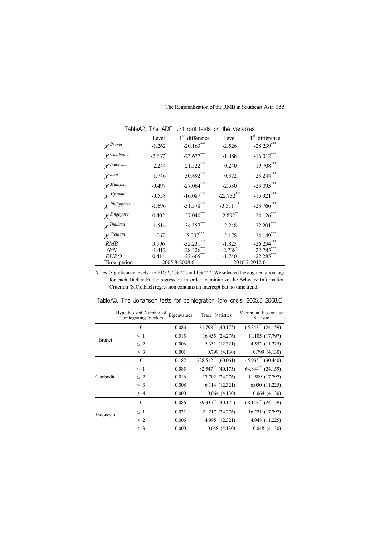|                        | Level      | difference    | Level                 | $1^{\rm st}$<br>difference |
|------------------------|------------|---------------|-----------------------|----------------------------|
| $X^{Brunei}$           | $-1.262$   | $-20.163***$  | $-2.526$              | $-28.239***$               |
| $X^{Cambodia}$         | $-2.637$ * | $-23.677***$  | $-1.088$              | $-16.012***$               |
| X <sup>Indonesia</sup> | $-2.244$   | $-21.522***$  | $-0.240$              | $-19.708***$               |
| $X^{Laos}$             | $-1.746$   | $-30.892***$  | $-0.372$              | $-23.244***$               |
| $X^{Malaysia}$         | $-0.497$   | $-27.064$ *** | $-2.530$              | $-23.093***$               |
| $X^{Myanmar}$          | $-0.558$   | $-16.087***$  | $-22.732***$          | $-15.321***$               |
| $X^{Philippines}$      | $-1.696$   | $-31.578***$  | $-3.511***$           | $-23.766$ ***              |
| $Y$ Singapore          | 0.402      | $-27.040$ *** | $-2.892$ **           | $-24.126$ ***              |
| $X^{Thailand}$         | $-1.514$   | $-34.557***$  | $-2.248$              | $-22.201***$               |
| X <sup>Vi</sup> etnam  | 1.067      | $-5.007***$   | $-2.178$              | $-24.149***$               |
| RMB                    | 3.996      | $-32.231***$  | $-1.825$              | $-26.234***$               |
| YEN                    | $-1.412$   | $-28.326***$  | $-2.738$ <sup>*</sup> | $-22.785***$               |
| <i>EURO</i>            | 0.414      | $-27.665$     | $-1.740$              | $-22.285$ ***              |
| Time period            |            | 2005.8-2008.6 |                       | 2010.7-2012.6              |

TableA2. The ADF unit root tests on the variables

Notes: Significance levels are 10% \*, 5% \*\*, and 1% \*\*\*. We selected the augmentation lags for each Dickey-Fuller regression in order to minimize the Schwarz Information Criterion (SIC). Each regression contains an intercept but no time trend.

|               | Hypothesized Number of<br>Cointegrating Vectors | Eigenvalues | Trace Statistics             | Maximum Eigenvalue<br>Statistic   |
|---------------|-------------------------------------------------|-------------|------------------------------|-----------------------------------|
|               | $\mathbf{0}$                                    | 0.086       | $81.798^{**}$ (40.175)       | $\overline{65.343}^{**}$ (24.159) |
| <b>Brunei</b> | $\leq$ 1                                        | 0.015       | 16.455 (24.276)              | 11.105 (17.797)                   |
|               | $\leq 2$                                        | 0.006       | 5.351 (12.321)               | 4.552 (11.225)                    |
|               | $\leq$ 3                                        | 0.001       | 0.799(4.130)                 | 0.799(4.130)                      |
|               | $\mathbf{0}$                                    | 0.182       | $228.512**$ (60.061)         | 145.965** (30.440)                |
|               | $\leq$ 1                                        | 0.085       | $82.547^{\ast\ast}$ (40.175) | $64.844$ <sup>**</sup> $(24.159)$ |
| Cambodia      | $\leq 2$                                        | 0.016       | 17.702 (24.276)              | 11.589 (17.797)                   |
|               | $\leq$ 3                                        | 0.008       | 6.114(12.321)                | 6.050 (11.225)                    |
|               | $\leq 4$                                        | 0.000       | 0.064(4.130)                 | 0.064(4.130)                      |
|               | $\theta$                                        | 0.086       | 89.335** (40.175)            | 68.118** (24.159)                 |
| Indonesia     | $\leq$ 1                                        | 0.021       | 21.217 (24.276)              | 16.221 (17.797)                   |
|               | $\leq 2$                                        | 0.006       | 4.995 (12.321)               | 4.948 (11.225)                    |
|               | $\leq$ 3                                        | 0.000       | 0.048(4.130)                 | 0.048(4.130)                      |

TableA3. The Johansen tests for cointegration (pre-crisis, 2005.8-2008.6)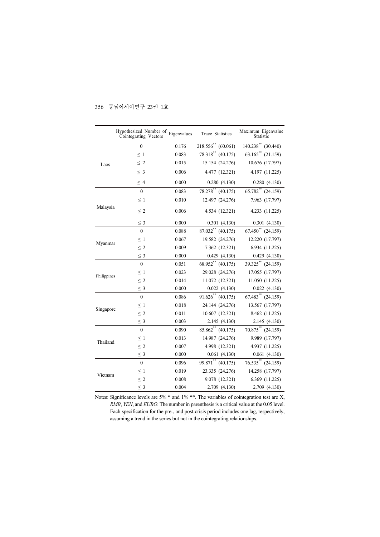|             | Hypothesized Number of Eigenvalues<br>Cointegrating Vectors |       | Trace Statistics        | Maximum Eigenvalue<br>Statistic    |
|-------------|-------------------------------------------------------------|-------|-------------------------|------------------------------------|
| Laos        | $\theta$                                                    | 0.176 | $218.556^{**}$ (60.061) | $\overline{140.238}^{**}$ (30.440) |
|             | $\leq~1$                                                    | 0.083 | 78.318** (40.175)       | $63.165^{**}$ (21.159)             |
|             | $\leq 2$                                                    | 0.015 | 15.154 (24.276)         | 10.676 (17.797)                    |
|             | $\leq$ 3                                                    | 0.006 | 4.477 (12.321)          | 4.197 (11.225)                     |
|             | $\leq 4$                                                    | 0.000 | 0.280(4.130)            | 0.280(4.130)                       |
| Malaysia    | $\theta$                                                    | 0.083 | 78.278** (40.175)       | $65.782**$ (24.159)                |
|             | $\leq$ 1                                                    | 0.010 | 12.497 (24.276)         | 7.963 (17.797)                     |
|             | $\leq 2$                                                    | 0.006 | 4.534 (12.321)          | 4.233 (11.225)                     |
|             | $\leq 3$                                                    | 0.000 | 0.301(4.130)            | 0.301(4.130)                       |
|             | $\mathbf{0}$                                                | 0.088 | $87.032^{**}$ (40.175)  | $67.450^{**}$ (24.159)             |
|             | $\leq$ 1                                                    | 0.067 | 19.582 (24.276)         | 12.220 (17.797)                    |
| Myanmar     | $\leq 2$                                                    | 0.009 | 7.362 (12.321)          | 6.934 (11.225)                     |
|             | $\leq 3$                                                    | 0.000 | 0.429(4.130)            | 0.429(4.130)                       |
|             | $\boldsymbol{0}$                                            | 0.051 | 68.952** (40.175)       | 39.325** (24.159)                  |
| Philippines | $\leq 1$                                                    | 0.023 | 29.028 (24.276)         | 17.055 (17.797)                    |
|             | $\leq 2$                                                    | 0.014 | 11.072 (12.321)         | 11.050 (11.225)                    |
|             | $\leq$ 3                                                    | 0.000 | 0.022(4.130)            | 0.022(4.130)                       |
|             | $\boldsymbol{0}$                                            | 0.086 | $91.626^{**}$ (40.175)  | 67.483** (24.159)                  |
|             | $\leq 1$                                                    | 0.018 | 24.144 (24.276)         | 13.567 (17.797)                    |
| Singapore   | $\leq 2$                                                    | 0.011 | 10.607 (12.321)         | 8.462 (11.225)                     |
|             | $\leq$ 3                                                    | 0.003 | 2.145 (4.130)           | 2.145 (4.130)                      |
| Thailand    | $\theta$                                                    | 0.090 | $85.862^{**}$ (40.175)  | $70.875**$ (24.159)                |
|             | $\leq$ 1                                                    | 0.013 | 14.987 (24.276)         | 9.989 (17.797)                     |
|             | $\leq 2$                                                    | 0.007 | 4.998 (12.321)          | 4.937 (11.225)                     |
|             | $\leq 3$                                                    | 0.000 | 0.061(4.130)            | 0.061(4.130)                       |
| Vietnam     | $\mathbf{0}$                                                | 0.096 | 99.871** (40.175)       | $76.535**$ (24.159)                |
|             | $\leq$ 1                                                    | 0.019 | 23.335 (24.276)         | 14.258 (17.797)                    |
|             | $\leq 2$                                                    | 0.008 | 9.078 (12.321)          | 6.369 (11.225)                     |
|             | $\leq 3$                                                    | 0.004 | 2.709 (4.130)           | 2.709 (4.130)                      |

Notes: Significance levels are 5% \* and 1% \*\*. The variables of cointegration test are X, *RMB*, *YEN*, and *EURO*. The number in parenthesis is a critical value at the 0.05 level. Each specification for the pre-, and post-crisis period includes one lag, respectively, assuming a trend in the series but not in the cointegrating relationships.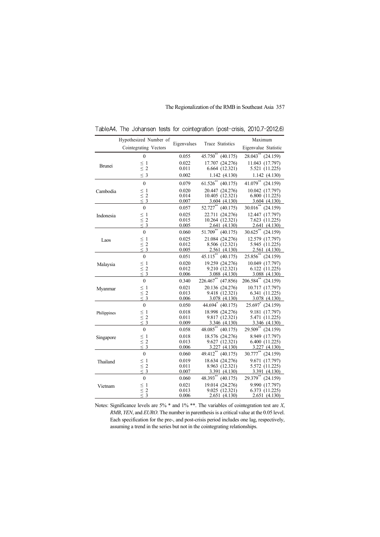|               | Hypothesized Number of<br>Cointegrating Vectors | Eigenvalues    | Trace Statistics                     | Maximum<br>Eigenvalue Statistic        |
|---------------|-------------------------------------------------|----------------|--------------------------------------|----------------------------------------|
|               | $\boldsymbol{0}$                                | 0.055          | $45.750^{**}$ (40.175)               | $28.043$ (24.159)                      |
| <b>Brunei</b> | $\leq 1$                                        | 0.022          | 17.707 (24.276)                      | 11.043 (17.797)                        |
|               | $\leq 2$                                        | 0.011          | 6.664 (12.321)                       | 5.521 (11.225)                         |
|               | $\leq$ 3                                        | 0.002          | 1.142 (4.130)                        | 1.142(4.130)                           |
|               | $\boldsymbol{0}$                                | 0.079          | $61.526^{**}$ (40.175)               | $41.079$ <sup>**</sup> (24.159)        |
| Cambodia      | $\leq 1$<br>$\leq 2$<br>$\leq 3$                | 0.020          | 20.447 (24.276)                      | 10.042 (17.797)                        |
|               |                                                 | 0.014          | 10.405 (12.321)                      | 6.800 (11.225)                         |
|               |                                                 | 0.007          | 3.604(4.130)<br>$52.727***$ (40.175) | 3.604(4.130)<br>$30.016^{**}$ (24.159) |
|               | $\mathbf{0}$                                    | 0.057          |                                      |                                        |
| Indonesia     | $\leq 1$<br>$\leq 2$                            | 0.025<br>0.015 | 22.711 (24.276)<br>10.264 (12.321)   | 12.447 (17.797)<br>7.623 (11.225)      |
|               | $\leq$ 3                                        | 0.005          | 2.641 (4.130)                        | 2.641 (4.130)                          |
|               | $\boldsymbol{0}$                                | 0.060          | $51.709^{**}$ (40.175)               | $30.625$ ** (24.159)                   |
| Laos          |                                                 | 0.025          | 21.084 (24.276)                      | 12.579 (17.797)                        |
|               | $\leq 1$<br>$\leq 2$<br>$\leq 3$                | 0.012          | 8.506 (12.321)                       | 5.945 (11.225)                         |
|               |                                                 | 0.005          | 2.561 (4.130)                        | 2.561(4.130)                           |
|               | $\boldsymbol{0}$                                | 0.051          | $45.115***$<br>(40.175)              | $25.856^{**}$<br>(24.159)              |
| Malaysia      | $\leq 1$<br>$\leq 2$<br>$\leq 3$                | 0.020          | 19.259 (24.276)                      | 10.049 (17.797)                        |
|               |                                                 | 0.012          | 9.210 (12.321)                       | 6.122(11.225)                          |
|               |                                                 | 0.006          | 3.088(4.130)                         | 3.088 (4.130)                          |
|               | $\mathbf{0}$                                    | 0.340          | $226.467^*$ (47.856)                 | 206.584** (24.159)                     |
| Myanmar       |                                                 | 0.021          | 20.136 (24.276)                      | 10.717 (17.797)                        |
|               | $\leq 1$<br>$\leq 2$<br>$\leq 3$                | 0.013<br>0.006 | 9.418 (12.321)<br>3.078 (4.130)      | 6.341 (11.225)<br>3.078 (4.130)        |
|               | $\boldsymbol{0}$                                | 0.050          | 44.694 (40.175)                      | 25.697 (24.159)                        |
| Philippines   |                                                 | 0.018          | 18.998 (24.276)                      | 9.181 (17.797)                         |
|               | $\leq 1$<br>$\leq 2$<br>$\leq 3$                | 0.011          | 9.817 (12.321)                       | 5.471 (11.225)                         |
|               |                                                 | 0.009          | 3.346 (4.130)                        | 3.346 (4.130)                          |
|               | $\boldsymbol{0}$                                | 0.058          | $48.085^{**}$ (40.175)               | 29.509** (24.159)                      |
| Singapore     | $\leq 1$<br>$\leq 2$<br>$\leq 3$                | 0.018          | 18.576 (24.276)                      | 8.949 (17.797)                         |
|               |                                                 | 0.013          | 9.627 (12.321)                       | 6.400 (11.225)                         |
|               |                                                 | 0.006          | 3.227 (4.130)                        | 3.227(4.130)                           |
| Thailand      | $\mathbf{0}$                                    | 0.060          | 49.412** (40.175)                    | 30.777** (24.159)                      |
|               |                                                 | 0.019          | 18.634 (24.276)                      | 9.671 (17.797)                         |
|               | $\leq 1$<br>$\leq 2$<br>$\leq 3$                | 0.011<br>0.007 | 8.963 (12.321)<br>3.391(4.130)       | 5.572 (11.225)<br>3.391 (4.130)        |
|               | $\boldsymbol{0}$                                | 0.060          | $48.393** (40.175)$                  | 29.379** (24.159)                      |
| Vietnam       |                                                 | 0.021          | 19.014 (24.276)                      | 9.990 (17.797)                         |
|               | $\leq 1$<br>$\leq 2$<br>$\leq 3$                | 0.013          | 9.025 (12.321)                       | 6.373 (11.225)                         |
|               |                                                 | 0.006          | 2.651 (4.130)                        | 2.651 (4.130)                          |

TableA4. The Johansen tests for cointegration (post-crisis, 2010.7-2012.6)

Notes: Significance levels are 5% \* and 1% \*\*. The variables of cointegration test are *X*, *RMB*, *YEN*, and *EURO*. The number in parenthesis is a critical value at the 0.05 level. Each specification for the pre-, and post-crisis period includes one lag, respectively, assuming a trend in the series but not in the cointegrating relationships.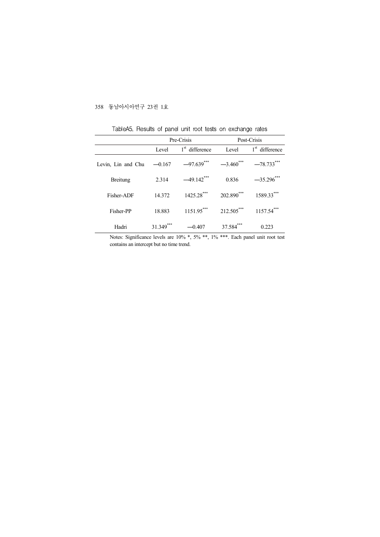|                             | Pre-Crisis |                            | Post-Crisis             |                            |  |
|-----------------------------|------------|----------------------------|-------------------------|----------------------------|--|
|                             | Level      | $1^{\rm st}$<br>difference | Level                   | $1^{\rm st}$<br>difference |  |
| Levin, Lin and Chu $-0.167$ |            | $-97.639$ ***              | $-3.460$ <sup>***</sup> | $-78.733***$               |  |
| <b>Breitung</b>             | 2.314      | $-49.142$ ***              | 0.836                   | $-35.296$ ***              |  |
| Fisher-ADF                  | 14.372     | $1425.28***$               | 202.890***              | 1589.33***                 |  |
| Fisher-PP                   | 18.883     | $1151.95***$               | 212.505***              | $1157.54***$               |  |
| Hadri                       | 31.349     | $-0.407$                   | 37.584                  | 0.223                      |  |

TableA5. Results of panel unit root tests on exchange rates

Notes: Significance levels are 10% \*, 5% \*\*, 1% \*\*\*. Each panel unit root test contains an intercept but no time trend.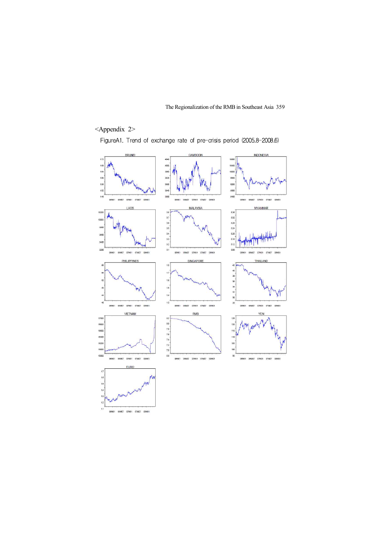# <Appendix 2>

FigureA1. Trend of exchange rate of pre-crisis period (2005.8-2008.6)

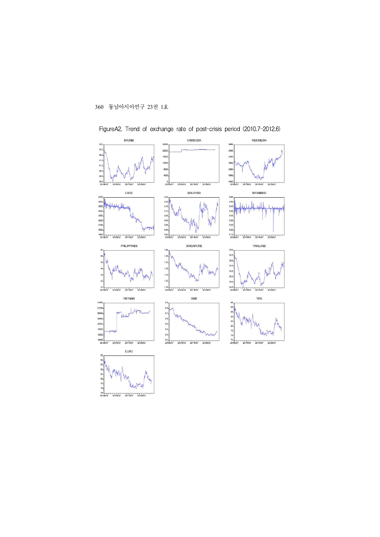74.

 $2011M01$  $2011M(7)$  $201284$ 



FigureA2. Trend of exchange rate of post-crisis period (2010.7-2012.6)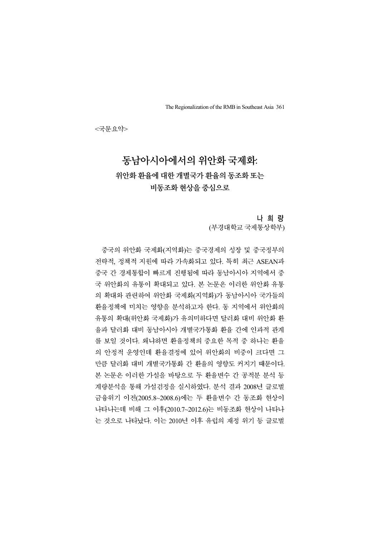<국문요약>

# 동남아시아에서의 위안화 국제화: 위안화 환율에 대한 개별국가 환율의 동조화 또는 비동조화 현상을 중심으로

나 희 량

(부경대학교 국제통상학부)

중국의 위안화 국제화(지역화)는 중국경제의 성장 및 중국정부의 전략적, 정책적 지원에 따라 가속화되고 있다. 특히 최근 ASEAN과 중국 간 경제통합이 빠르게 진행됨에 따라 동남아시아 지역에서 중 국 위안화의 유통이 확대되고 있다. 본 논문은 이러한 위안화 유통 의 확대와 관련하여 위안화 국제화(지역화)가 동남아시아 국가들의 환율정책에 미치는 영향을 분석하고자 한다. 동 지역에서 위안화의 유통의 확대(위안화 국제화)가 유의미하다면 달러화 대비 위안화 환 율과 달러화 대비 동남아시아 개별국가통화 환율 간에 인과적 관계 를 보일 것이다. 왜냐하면 환율정책의 중요한 목적 중 하나는 환율 의 안정적 운영인데 환율결정에 있어 위안화의 비중이 크다면 그 만큼 달러화 대비 개별국가통화 간 환율의 영향도 커지기 때문이다. 본 논문은 이러한 가설을 바탕으로 두 환율변수 간 공적분 분석 등 계량분석을 통해 가설검정을 실시하였다. 분석 결과 2008년 글로벌 금융위기 이전(2005.8~2008.6)에는 두 환율변수 간 동조화 현상이 나타나는데 비해 그 이후(2010.7~2012.6)는 비동조화 현상이 나타나 는 것으로 나타났다. 이는 2010년 이후 유럽의 재정 위기 등 글로벌